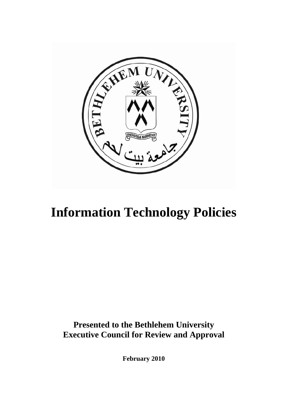

# **Information Technology Policies**

**Presented to the Bethlehem University Executive Council for Review and Approval** 

**February 2010**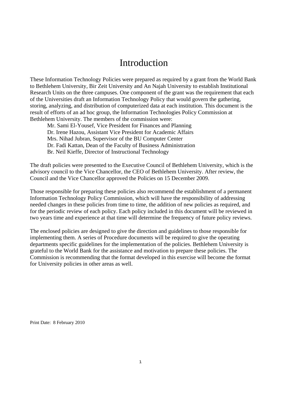## Introduction

These Information Technology Policies were prepared as required by a grant from the World Bank to Bethlehem University, Bir Zeit University and An Najah University to establish Institutional Research Units on the three campuses. One component of the grant was the requirement that each of the Universities draft an Information Technology Policy that would govern the gathering, storing, analyzing, and distribution of computerized data at each institution. This document is the result of efforts of an ad hoc group, the Information Technologies Policy Commission at Bethlehem University. The members of the commission were:

Mr. Sami El-Yousef, Vice President for Finances and Planning Dr. Irene Hazou, Assistant Vice President for Academic Affairs Mrs. Nihad Jubran, Supervisor of the BU Computer Center Dr. Fadi Kattan, Dean of the Faculty of Business Administration Br. Neil Kieffe, Director of Instructional Technology

The draft policies were presented to the Executive Council of Bethlehem University, which is the advisory council to the Vice Chancellor, the CEO of Bethlehem University. After review, the Council and the Vice Chancellor approved the Policies on 15 December 2009.

Those responsible for preparing these policies also recommend the establishment of a permanent Information Technology Policy Commission, which will have the responsibility of addressing needed changes in these policies from time to time, the addition of new policies as required, and for the periodic review of each policy. Each policy included in this document will be reviewed in two years time and experience at that time will determine the frequency of future policy reviews.

The enclosed policies are designed to give the direction and guidelines to those responsible for implementing them. A series of Procedure documents will be required to give the operating departments specific guidelines for the implementation of the policies. Bethlehem University is grateful to the World Bank for the assistance and motivation to prepare these policies. The Commission is recommending that the format developed in this exercise will become the format for University policies in other areas as well.

Print Date: 8 February 2010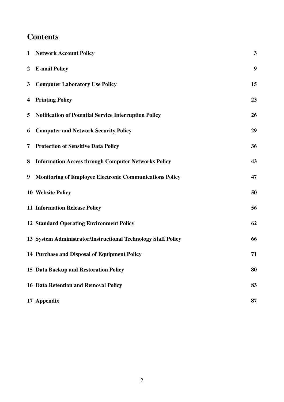## **Contents**

|                | 1 Network Account Policy                                       | 3  |
|----------------|----------------------------------------------------------------|----|
| $\overline{2}$ | <b>E-mail Policy</b>                                           | 9  |
| $\mathbf{3}$   | <b>Computer Laboratory Use Policy</b>                          | 15 |
| 4              | <b>Printing Policy</b>                                         | 23 |
| 5              | <b>Notification of Potential Service Interruption Policy</b>   | 26 |
| 6              | <b>Computer and Network Security Policy</b>                    | 29 |
| 7              | <b>Protection of Sensitive Data Policy</b>                     | 36 |
| 8              | <b>Information Access through Computer Networks Policy</b>     | 43 |
| 9              | <b>Monitoring of Employee Electronic Communications Policy</b> | 47 |
|                | <b>10 Website Policy</b>                                       | 50 |
|                | <b>11 Information Release Policy</b>                           | 56 |
|                | <b>12 Standard Operating Environment Policy</b>                | 62 |
|                | 13 System Administrator/Instructional Technology Staff Policy  | 66 |
|                | 14 Purchase and Disposal of Equipment Policy                   | 71 |
|                | 15 Data Backup and Restoration Policy                          | 80 |
|                | <b>16 Data Retention and Removal Policy</b>                    | 83 |
|                | 17 Appendix                                                    | 87 |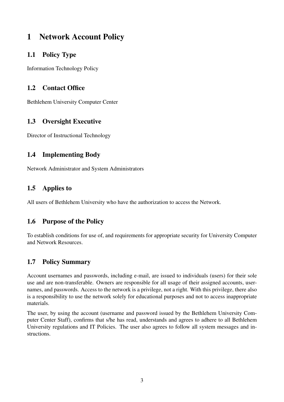## 1 Network Account Policy

## 1.1 Policy Type

Information Technology Policy

## 1.2 Contact Office

Bethlehem University Computer Center

## 1.3 Oversight Executive

Director of Instructional Technology

## 1.4 Implementing Body

Network Administrator and System Administrators

### 1.5 Applies to

All users of Bethlehem University who have the authorization to access the Network.

### 1.6 Purpose of the Policy

To establish conditions for use of, and requirements for appropriate security for University Computer and Network Resources.

## 1.7 Policy Summary

Account usernames and passwords, including e-mail, are issued to individuals (users) for their sole use and are non-transferable. Owners are responsible for all usage of their assigned accounts, usernames, and passwords. Access to the network is a privilege, not a right. With this privilege, there also is a responsibility to use the network solely for educational purposes and not to access inappropriate materials.

The user, by using the account (username and password issued by the Bethlehem University Computer Center Staff), confirms that s/he has read, understands and agrees to adhere to all Bethlehem University regulations and IT Policies. The user also agrees to follow all system messages and instructions.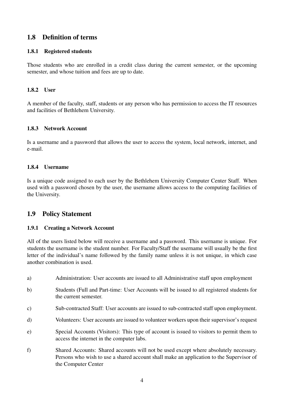### 1.8 Definition of terms

#### 1.8.1 Registered students

Those students who are enrolled in a credit class during the current semester, or the upcoming semester, and whose tuition and fees are up to date.

#### 1.8.2 User

A member of the faculty, staff, students or any person who has permission to access the IT resources and facilities of Bethlehem University.

#### 1.8.3 Network Account

Is a username and a password that allows the user to access the system, local network, internet, and e-mail.

#### 1.8.4 Username

Is a unique code assigned to each user by the Bethlehem University Computer Center Staff. When used with a password chosen by the user, the username allows access to the computing facilities of the University.

#### 1.9 Policy Statement

#### 1.9.1 Creating a Network Account

All of the users listed below will receive a username and a password. This username is unique. For students the username is the student number. For Faculty/Staff the username will usually be the first letter of the individual's name followed by the family name unless it is not unique, in which case another combination is used.

- a) Administration: User accounts are issued to all Administrative staff upon employment
- b) Students (Full and Part-time: User Accounts will be issued to all registered students for the current semester.
- c) Sub-contracted Staff: User accounts are issued to sub-contracted staff upon employment.
- d) Volunteers: User accounts are issued to volunteer workers upon their supervisor's request
- e) Special Accounts (Visitors): This type of account is issued to visitors to permit them to access the internet in the computer labs.
- f) Shared Accounts: Shared accounts will not be used except where absolutely necessary. Persons who wish to use a shared account shall make an application to the Supervisor of the Computer Center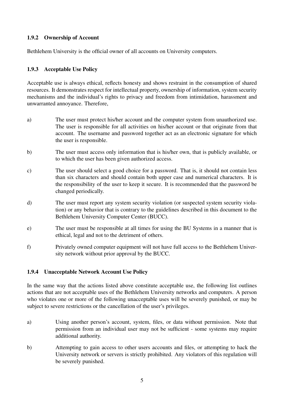#### 1.9.2 Ownership of Account

Bethlehem University is the official owner of all accounts on University computers.

#### 1.9.3 Acceptable Use Policy

Acceptable use is always ethical, reflects honesty and shows restraint in the consumption of shared resources. It demonstrates respect for intellectual property, ownership of information, system security mechanisms and the individual's rights to privacy and freedom from intimidation, harassment and unwarranted annoyance. Therefore,

- a) The user must protect his/her account and the computer system from unauthorized use. The user is responsible for all activities on his/her account or that originate from that account. The username and password together act as an electronic signature for which the user is responsible.
- b) The user must access only information that is his/her own, that is publicly available, or to which the user has been given authorized access.
- c) The user should select a good choice for a password. That is, it should not contain less than six characters and should contain both upper case and numerical characters. It is the responsibility of the user to keep it secure. It is recommended that the password be changed periodically.
- d) The user must report any system security violation (or suspected system security violation) or any behavior that is contrary to the guidelines described in this document to the Bethlehem University Computer Center (BUCC).
- e) The user must be responsible at all times for using the BU Systems in a manner that is ethical, legal and not to the detriment of others.
- f) Privately owned computer equipment will not have full access to the Bethlehem University network without prior approval by the BUCC.

#### 1.9.4 Unacceptable Network Account Use Policy

In the same way that the actions listed above constitute acceptable use, the following list outlines actions that are not acceptable uses of the Bethlehem University networks and computers. A person who violates one or more of the following unacceptable uses will be severely punished, or may be subject to severe restrictions or the cancellation of the user's privileges.

- a) Using another person's account, system, files, or data without permission. Note that permission from an individual user may not be sufficient - some systems may require additional authority.
- b) Attempting to gain access to other users accounts and files, or attempting to hack the University network or servers is strictly prohibited. Any violators of this regulation will be severely punished.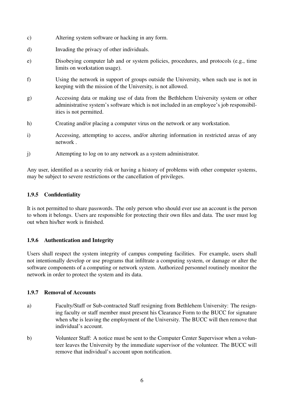- c) Altering system software or hacking in any form.
- d) Invading the privacy of other individuals.
- e) Disobeying computer lab and or system policies, procedures, and protocols (e.g., time limits on workstation usage).
- f) Using the network in support of groups outside the University, when such use is not in keeping with the mission of the University, is not allowed.
- g) Accessing data or making use of data from the Bethlehem University system or other administrative system's software which is not included in an employee's job responsibilities is not permitted.
- h) Creating and/or placing a computer virus on the network or any workstation.
- i) Accessing, attempting to access, and/or altering information in restricted areas of any network .
- j) Attempting to log on to any network as a system administrator.

Any user, identified as a security risk or having a history of problems with other computer systems, may be subject to severe restrictions or the cancellation of privileges.

#### 1.9.5 Confidentiality

It is not permitted to share passwords. The only person who should ever use an account is the person to whom it belongs. Users are responsible for protecting their own files and data. The user must log out when his/her work is finished.

#### 1.9.6 Authentication and Integrity

Users shall respect the system integrity of campus computing facilities. For example, users shall not intentionally develop or use programs that infiltrate a computing system, or damage or alter the software components of a computing or network system. Authorized personnel routinely monitor the network in order to protect the system and its data.

#### 1.9.7 Removal of Accounts

- a) Faculty/Staff or Sub-contracted Staff resigning from Bethlehem University: The resigning faculty or staff member must present his Clearance Form to the BUCC for signature when s/he is leaving the employment of the University. The BUCC will then remove that individual's account.
- b) Volunteer Staff: A notice must be sent to the Computer Center Supervisor when a volunteer leaves the University by the immediate supervisor of the volunteer. The BUCC will remove that individual's account upon notification.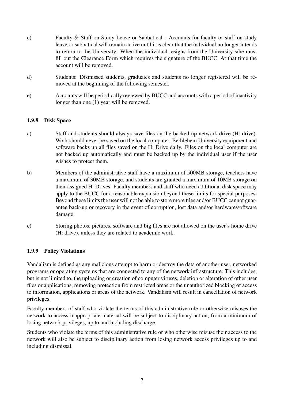- c) Faculty & Staff on Study Leave or Sabbatical : Accounts for faculty or staff on study leave or sabbatical will remain active until it is clear that the individual no longer intends to return to the University. When the individual resigns from the University s/he must fill out the Clearance Form which requires the signature of the BUCC. At that time the account will be removed.
- d) Students: Dismissed students, graduates and students no longer registered will be removed at the beginning of the following semester.
- e) Accounts will be periodically reviewed by BUCC and accounts with a period of inactivity longer than one (1) year will be removed.

#### 1.9.8 Disk Space

- a) Staff and students should always save files on the backed-up network drive (H: drive). Work should never be saved on the local computer. Bethlehem University equipment and software backs up all files saved on the H: Drive daily. Files on the local computer are not backed up automatically and must be backed up by the individual user if the user wishes to protect them.
- b) Members of the administrative staff have a maximum of 500MB storage, teachers have a maximum of 30MB storage, and students are granted a maximum of 10MB storage on their assigned H: Drives. Faculty members and staff who need additional disk space may apply to the BUCC for a reasonable expansion beyond these limits for special purposes. Beyond these limits the user will not be able to store more files and/or BUCC cannot guarantee back-up or recovery in the event of corruption, lost data and/or hardware/software damage.
- c) Storing photos, pictures, software and big files are not allowed on the user's home drive (H: drive), unless they are related to academic work.

#### 1.9.9 Policy Violations

Vandalism is defined as any malicious attempt to harm or destroy the data of another user, networked programs or operating systems that are connected to any of the network infrastructure. This includes, but is not limited to, the uploading or creation of computer viruses, deletion or alteration of other user files or applications, removing protection from restricted areas or the unauthorized blocking of access to information, applications or areas of the network. Vandalism will result in cancellation of network privileges.

Faculty members of staff who violate the terms of this administrative rule or otherwise misuses the network to access inappropriate material will be subject to disciplinary action, from a minimum of losing network privileges, up to and including discharge.

Students who violate the terms of this administrative rule or who otherwise misuse their access to the network will also be subject to disciplinary action from losing network access privileges up to and including dismissal.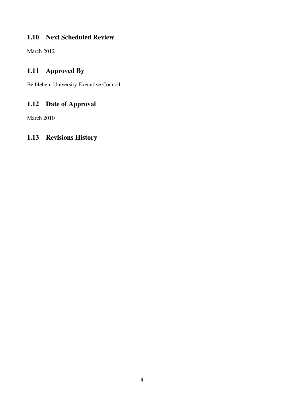## 1.10 Next Scheduled Review

March 2012

## 1.11 Approved By

Bethlehem University Executive Council

## 1.12 Date of Approval

March 2010

## 1.13 Revisions History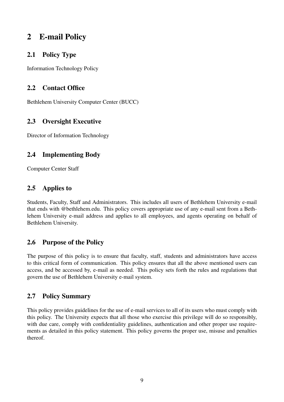## 2 E-mail Policy

## 2.1 Policy Type

Information Technology Policy

## 2.2 Contact Office

Bethlehem University Computer Center (BUCC)

## 2.3 Oversight Executive

Director of Information Technology

## 2.4 Implementing Body

Computer Center Staff

### 2.5 Applies to

Students, Faculty, Staff and Administrators. This includes all users of Bethlehem University e-mail that ends with @bethlehem.edu. This policy covers appropriate use of any e-mail sent from a Bethlehem University e-mail address and applies to all employees, and agents operating on behalf of Bethlehem University.

## 2.6 Purpose of the Policy

The purpose of this policy is to ensure that faculty, staff, students and administrators have access to this critical form of communication. This policy ensures that all the above mentioned users can access, and be accessed by, e-mail as needed. This policy sets forth the rules and regulations that govern the use of Bethlehem University e-mail system.

## 2.7 Policy Summary

This policy provides guidelines for the use of e-mail services to all of its users who must comply with this policy. The University expects that all those who exercise this privilege will do so responsibly, with due care, comply with confidentiality guidelines, authentication and other proper use requirements as detailed in this policy statement. This policy governs the proper use, misuse and penalties thereof.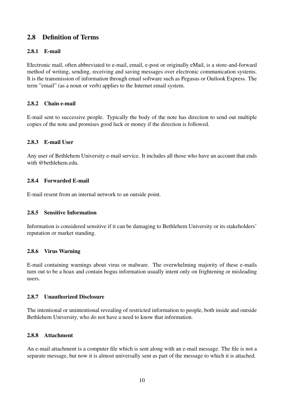### 2.8 Definition of Terms

#### 2.8.1 E-mail

Electronic mail, often abbreviated to e-mail, email, e-post or originally eMail, is a store-and-forward method of writing, sending, receiving and saving messages over electronic communication systems. It is the transmission of information through email software such as Pegasus or Outlook Express. The term "email" (as a noun or verb) applies to the Internet email system.

#### 2.8.2 Chain e-mail

E-mail sent to successive people. Typically the body of the note has direction to send out multiple copies of the note and promises good luck or money if the direction is followed.

#### 2.8.3 E-mail User

Any user of Bethlehem University e-mail service. It includes all those who have an account that ends with @bethlehem.edu.

#### 2.8.4 Forwarded E-mail

E-mail resent from an internal network to an outside point.

#### 2.8.5 Sensitive Information

Information is considered sensitive if it can be damaging to Bethlehem University or its stakeholders' reputation or market standing.

#### 2.8.6 Virus Warning

E-mail containing warnings about virus or malware. The overwhelming majority of these e-mails turn out to be a hoax and contain bogus information usually intent only on frightening or misleading users.

#### 2.8.7 **Unauthorized Disclosure**

The intentional or unintentional revealing of restricted information to people, both inside and outside Bethlehem University, who do not have a need to know that information.

#### 2.8.8 Attachment

An e-mail attachment is a computer file which is sent along with an e-mail message. The file is not a separate message, but now it is almost universally sent as part of the message to which it is attached.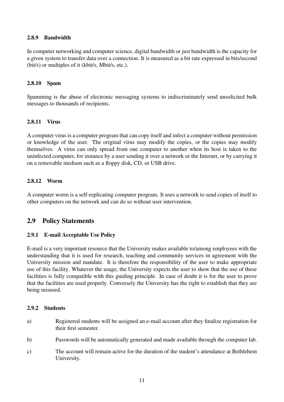#### 2.8.9 Bandwidth

In computer networking and computer science, digital bandwidth or just bandwidth is the capacity for a given system to transfer data over a connection. It is measured as a bit rate expressed in bits/second (bit/s) or multiples of it (kbit/s, Mbit/s, etc.).

#### 2.8.10 Spam

Spamming is the abuse of electronic messaging systems to indiscriminately send unsolicited bulk messages to thousands of recipients.

#### 2.8.11 Virus

A computer virus is a computer program that can copy itself and infect a computer without permission or knowledge of the user. The original virus may modify the copies, or the copies may modify themselves. A virus can only spread from one computer to another when its host is taken to the uninfected computer, for instance by a user sending it over a network or the Internet, or by carrying it on a removable medium such as a floppy disk, CD, or USB drive.

#### 2.8.12 Worm

A computer worm is a self-replicating computer program. It uses a network to send copies of itself to other computers on the network and can do so without user intervention.

#### 2.9 Policy Statements

#### 2.9.1 E-mail Acceptable Use Policy

E-mail is a very important resource that the University makes available to/among employees with the understanding that it is used for research, teaching and community services in agreement with the University mission and mandate. It is therefore the responsibility of the user to make appropriate use of this facility. Whatever the usage, the University expects the user to show that the use of these facilities is fully compatible with this guiding principle. In case of doubt it is for the user to prove that the facilities are used properly. Conversely the University has the right to establish that they are being misused.

#### 2.9.2 Students

- a) Registered students will be assigned an e-mail account after they finalize registration for their first semester.
- b) Passwords will be automatically generated and made available through the computer lab.
- c) The account will remain active for the duration of the student's attendance at Bethlehem University.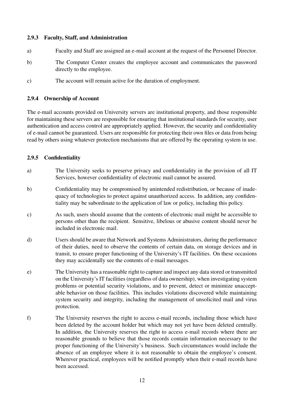#### 2.9.3 Faculty, Staff, and Administration

- a) Faculty and Staff are assigned an e-mail account at the request of the Personnel Director.
- b) The Computer Center creates the employee account and communicates the password directly to the employee.
- c) The account will remain active for the duration of employment.

#### 2.9.4 Ownership of Account

The e-mail accounts provided on University servers are institutional property, and those responsible for maintaining these servers are responsible for ensuring that institutional standards for security, user authentication and access control are appropriately applied. However, the security and confidentiality of e-mail cannot be guaranteed. Users are responsible for protecting their own files or data from being read by others using whatever protection mechanisms that are offered by the operating system in use.

#### 2.9.5 Confidentiality

- a) The University seeks to preserve privacy and confidentiality in the provision of all IT Services, however confidentiality of electronic mail cannot be assured.
- b) Confidentiality may be compromised by unintended redistribution, or because of inadequacy of technologies to protect against unauthorized access. In addition, any confidentiality may be subordinate to the application of law or policy, including this policy.
- c) As such, users should assume that the contents of electronic mail might be accessible to persons other than the recipient. Sensitive, libelous or abusive content should never be included in electronic mail.
- d) Users should be aware that Network and Systems Administrators, during the performance of their duties, need to observe the contents of certain data, on storage devices and in transit, to ensure proper functioning of the University's IT facilities. On these occasions they may accidentally see the contents of e-mail messages.
- e) The University has a reasonable right to capture and inspect any data stored or transmitted on the University's IT facilities (regardless of data ownership), when investigating system problems or potential security violations, and to prevent, detect or minimize unacceptable behavior on those facilities. This includes violations discovered while maintaining system security and integrity, including the management of unsolicited mail and virus protection.
- f) The University reserves the right to access e-mail records, including those which have been deleted by the account holder but which may not yet have been deleted centrally. In addition, the University reserves the right to access e-mail records where there are reasonable grounds to believe that those records contain information necessary to the proper functioning of the University's business. Such circumstances would include the absence of an employee where it is not reasonable to obtain the employee's consent. Wherever practical, employees will be notified promptly when their e-mail records have been accessed.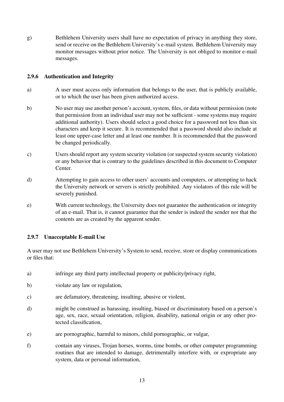g) Bethlehem University users shall have no expectation of privacy in anything they store, send or receive on the Bethlehem University's e-mail system. Bethlehem University may monitor messages without prior notice. The University is not obliged to monitor e-mail messages.

#### 2.9.6 Authentication and Integrity

- a) A user must access only information that belongs to the user, that is publicly available, or to which the user has been given authorized access.
- b) No user may use another person's account, system, files, or data without permission (note that permission from an individual user may not be sufficient - some systems may require additional authority). Users should select a good choice for a password not less than six characters and keep it secure. It is recommended that a password should also include at least one upper-case letter and at least one number. It is recommended that the password be changed periodically.
- c) Users should report any system security violation (or suspected system security violation) or any behavior that is contrary to the guidelines described in this document to Computer Center.
- d) Attempting to gain access to other users' accounts and computers, or attempting to hack the University network or servers is strictly prohibited. Any violators of this rule will be severely punished.
- e) With current technology, the University does not guarantee the authentication or integrity of an e-mail. That is, it cannot guarantee that the sender is indeed the sender nor that the contents are as created by the apparent sender.

#### 2.9.7 Unacceptable E-mail Use

A user may not use Bethlehem University's System to send, receive, store or display communications or files that:

- a) infringe any third party intellectual property or publicity/privacy right,
- b) violate any law or regulation,
- c) are defamatory, threatening, insulting, abusive or violent,
- d) might be construed as harassing, insulting, biased or discriminatory based on a person's age, sex, race, sexual orientation, religion, disability, national origin or any other protected classification,
- e) are pornographic, harmful to minors, child pornographic, or vulgar,
- f) contain any viruses, Trojan horses, worms, time bombs, or other computer programming routines that are intended to damage, detrimentally interfere with, or expropriate any system, data or personal information,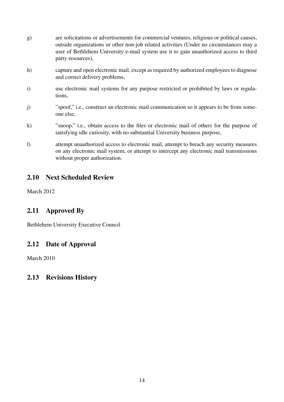| g)               | are solicitations or advertisements for commercial ventures, religious or political causes,<br>outside organizations or other non-job related activities (Under no circumstances may a<br>user of Bethlehem University e-mail system use it to gain unauthorized access to third<br>party resources), |
|------------------|-------------------------------------------------------------------------------------------------------------------------------------------------------------------------------------------------------------------------------------------------------------------------------------------------------|
| h)               | capture and open electronic mail, except as required by authorized employees to diagnose<br>and correct delivery problems,                                                                                                                                                                            |
| $\mathbf{i}$     | use electronic mail systems for any purpose restricted or prohibited by laws or regula-<br>tions,                                                                                                                                                                                                     |
| j)               | "spoof," i.e., construct an electronic mail communication so it appears to be from some-<br>one else,                                                                                                                                                                                                 |
| $\bf k)$         | "snoop," i.e., obtain access to the files or electronic mail of others for the purpose of<br>satisfying idle curiosity, with no substantial University business purpose,                                                                                                                              |
| $\left( \right)$ | attempt unauthorized access to electronic mail, attempt to breach any security measures<br>on any electronic mail system, or attempt to intercept any electronic mail transmissions<br>without proper authorization.                                                                                  |

## 2.10 Next Scheduled Review

March 2012

## 2.11 Approved By

Bethlehem University Executive Council

## 2.12 Date of Approval

March 2010

## 2.13 Revisions History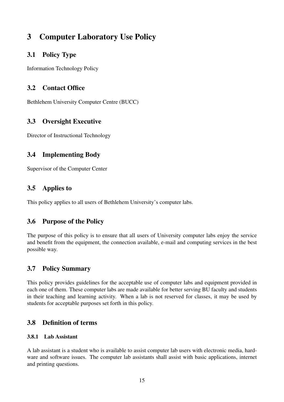## 3 Computer Laboratory Use Policy

### 3.1 Policy Type

Information Technology Policy

## 3.2 Contact Office

Bethlehem University Computer Centre (BUCC)

## 3.3 Oversight Executive

Director of Instructional Technology

## 3.4 Implementing Body

Supervisor of the Computer Center

### 3.5 Applies to

This policy applies to all users of Bethlehem University's computer labs.

### 3.6 Purpose of the Policy

The purpose of this policy is to ensure that all users of University computer labs enjoy the service and benefit from the equipment, the connection available, e-mail and computing services in the best possible way.

### 3.7 Policy Summary

This policy provides guidelines for the acceptable use of computer labs and equipment provided in each one of them. These computer labs are made available for better serving BU faculty and students in their teaching and learning activity. When a lab is not reserved for classes, it may be used by students for acceptable purposes set forth in this policy.

### 3.8 Definition of terms

#### 3.8.1 Lab Assistant

A lab assistant is a student who is available to assist computer lab users with electronic media, hardware and software issues. The computer lab assistants shall assist with basic applications, internet and printing questions.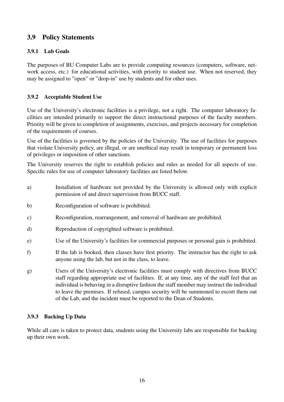## 3.9 Policy Statements

#### 3.9.1 Lab Goals

The purposes of BU Computer Labs are to provide computing resources (computers, software, network access, etc.) for educational activities, with priority to student use. When not reserved, they may be assigned to "open" or "drop-in" use by students and for other uses.

#### 3.9.2 Acceptable Student Use

Use of the University's electronic facilities is a privilege, not a right. The computer laboratory facilities are intended primarily to support the direct instructional purposes of the faculty members. Priority will be given to completion of assignments, exercises, and projects necessary for completion of the requirements of courses.

Use of the facilities is governed by the policies of the University. The use of facilities for purposes that violate University policy, are illegal, or are unethical may result in temporary or permanent loss of privileges or imposition of other sanctions.

The University reserves the right to establish policies and rules as needed for all aspects of use. Specific rules for use of computer laboratory facilities are listed below.

- a) Installation of hardware not provided by the University is allowed only with explicit permission of and direct supervision from BUCC staff.
- b) Reconfiguration of software is prohibited.
- c) Reconfiguration, rearrangement, and removal of hardware are prohibited.
- d) Reproduction of copyrighted software is prohibited.
- e) Use of the University's facilities for commercial purposes or personal gain is prohibited.
- f) If the lab is booked, then classes have first priority. The instructor has the right to ask anyone using the lab, but not in the class, to leave.
- g) Users of the University's electronic facilities must comply with directives from BUCC staff regarding appropriate use of facilities. If, at any time, any of the staff feel that an individual is behaving in a disruptive fashion the staff member may instruct the individual to leave the premises. If refused, campus security will be summoned to escort them out of the Lab, and the incident must be reported to the Dean of Students.

#### 3.9.3 Backing Up Data

While all care is taken to protect data, students using the University labs are responsible for backing up their own work.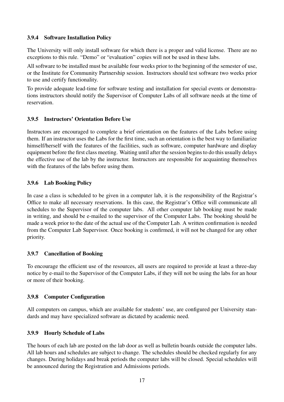#### 3.9.4 Software Installation Policy

The University will only install software for which there is a proper and valid license. There are no exceptions to this rule. "Demo" or "evaluation" copies will not be used in these labs.

All software to be installed must be available four weeks prior to the beginning of the semester of use, or the Institute for Community Partnership session. Instructors should test software two weeks prior to use and certify functionality.

To provide adequate lead-time for software testing and installation for special events or demonstrations instructors should notify the Supervisor of Computer Labs of all software needs at the time of reservation.

#### 3.9.5 Instructors' Orientation Before Use

Instructors are encouraged to complete a brief orientation on the features of the Labs before using them. If an instructor uses the Labs for the first time, such an orientation is the best way to familiarize himself/herself with the features of the facilities, such as software, computer hardware and display equipment before the first class meeting. Waiting until after the session begins to do this usually delays the effective use of the lab by the instructor. Instructors are responsible for acquainting themselves with the features of the labs before using them.

#### 3.9.6 Lab Booking Policy

In case a class is scheduled to be given in a computer lab, it is the responsibility of the Registrar's Office to make all necessary reservations. In this case, the Registrar's Office will communicate all schedules to the Supervisor of the computer labs. All other computer lab booking must be made in writing, and should be e-mailed to the supervisor of the Computer Labs. The booking should be made a week prior to the date of the actual use of the Computer Lab. A written confirmation is needed from the Computer Lab Supervisor. Once booking is confirmed, it will not be changed for any other priority.

#### 3.9.7 Cancellation of Booking

To encourage the efficient use of the resources, all users are required to provide at least a three-day notice by e-mail to the Supervisor of the Computer Labs, if they will not be using the labs for an hour or more of their booking.

#### 3.9.8 Computer Configuration

All computers on campus, which are available for students' use, are configured per University standards and may have specialized software as dictated by academic need.

#### 3.9.9 Hourly Schedule of Labs

The hours of each lab are posted on the lab door as well as bulletin boards outside the computer labs. All lab hours and schedules are subject to change. The schedules should be checked regularly for any changes. During holidays and break periods the computer labs will be closed. Special schedules will be announced during the Registration and Admissions periods.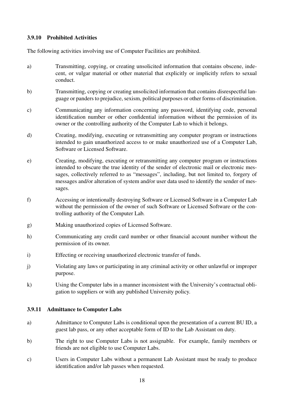#### 3.9.10 Prohibited Activities

The following activities involving use of Computer Facilities are prohibited.

- a) Transmitting, copying, or creating unsolicited information that contains obscene, indecent, or vulgar material or other material that explicitly or implicitly refers to sexual conduct.
- b) Transmitting, copying or creating unsolicited information that contains disrespectful language or panders to prejudice, sexism, political purposes or other forms of discrimination.
- c) Communicating any information concerning any password, identifying code, personal identification number or other confidential information without the permission of its owner or the controlling authority of the Computer Lab to which it belongs.
- d) Creating, modifying, executing or retransmitting any computer program or instructions intended to gain unauthorized access to or make unauthorized use of a Computer Lab, Software or Licensed Software.
- e) Creating, modifying, executing or retransmitting any computer program or instructions intended to obscure the true identity of the sender of electronic mail or electronic messages, collectively referred to as "messages", including, but not limited to, forgery of messages and/or alteration of system and/or user data used to identify the sender of messages.
- f) Accessing or intentionally destroying Software or Licensed Software in a Computer Lab without the permission of the owner of such Software or Licensed Software or the controlling authority of the Computer Lab.
- g) Making unauthorized copies of Licensed Software.
- h) Communicating any credit card number or other financial account number without the permission of its owner.
- i) Effecting or receiving unauthorized electronic transfer of funds.
- j) Violating any laws or participating in any criminal activity or other unlawful or improper purpose.
- k) Using the Computer labs in a manner inconsistent with the University's contractual obligation to suppliers or with any published University policy.

#### 3.9.11 Admittance to Computer Labs

- a) Admittance to Computer Labs is conditional upon the presentation of a current BU ID, a guest lab pass, or any other acceptable form of ID to the Lab Assistant on duty.
- b) The right to use Computer Labs is not assignable. For example, family members or friends are not eligible to use Computer Labs.
- c) Users in Computer Labs without a permanent Lab Assistant must be ready to produce identification and/or lab passes when requested.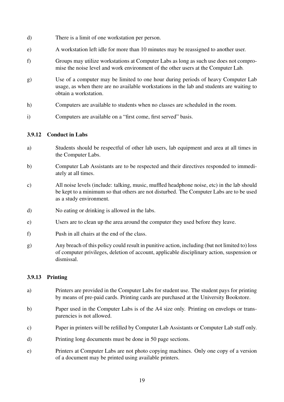- d) There is a limit of one workstation per person.
- e) A workstation left idle for more than 10 minutes may be reassigned to another user.
- f) Groups may utilize workstations at Computer Labs as long as such use does not compromise the noise level and work environment of the other users at the Computer Lab.
- g) Use of a computer may be limited to one hour during periods of heavy Computer Lab usage, as when there are no available workstations in the lab and students are waiting to obtain a workstation.
- h) Computers are available to students when no classes are scheduled in the room.
- i) Computers are available on a "first come, first served" basis.

#### 3.9.12 Conduct in Labs

- a) Students should be respectful of other lab users, lab equipment and area at all times in the Computer Labs.
- b) Computer Lab Assistants are to be respected and their directives responded to immediately at all times.
- c) All noise levels (include: talking, music, muffled headphone noise, etc) in the lab should be kept to a minimum so that others are not disturbed. The Computer Labs are to be used as a study environment.
- d) No eating or drinking is allowed in the labs.
- e) Users are to clean up the area around the computer they used before they leave.
- f) Push in all chairs at the end of the class.
- g) Any breach of this policy could result in punitive action, including (but not limited to) loss of computer privileges, deletion of account, applicable disciplinary action, suspension or dismissal.

#### 3.9.13 Printing

- a) Printers are provided in the Computer Labs for student use. The student pays for printing by means of pre-paid cards. Printing cards are purchased at the University Bookstore.
- b) Paper used in the Computer Labs is of the A4 size only. Printing on envelops or transparencies is not allowed.
- c) Paper in printers will be refilled by Computer Lab Assistants or Computer Lab staff only.
- d) Printing long documents must be done in 50 page sections.
- e) Printers at Computer Labs are not photo copying machines. Only one copy of a version of a document may be printed using available printers.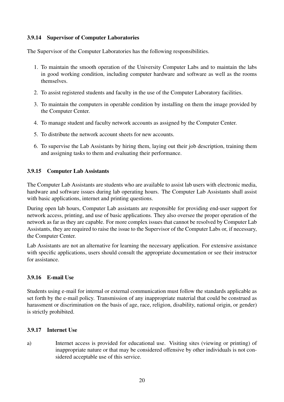#### 3.9.14 Supervisor of Computer Laboratories

The Supervisor of the Computer Laboratories has the following responsibilities.

- 1. To maintain the smooth operation of the University Computer Labs and to maintain the labs in good working condition, including computer hardware and software as well as the rooms themselves.
- 2. To assist registered students and faculty in the use of the Computer Laboratory facilities.
- 3. To maintain the computers in operable condition by installing on them the image provided by the Computer Center.
- 4. To manage student and faculty network accounts as assigned by the Computer Center.
- 5. To distribute the network account sheets for new accounts.
- 6. To supervise the Lab Assistants by hiring them, laying out their job description, training them and assigning tasks to them and evaluating their performance.

#### 3.9.15 Computer Lab Assistants

The Computer Lab Assistants are students who are available to assist lab users with electronic media, hardware and software issues during lab operating hours. The Computer Lab Assistants shall assist with basic applications, internet and printing questions.

During open lab hours, Computer Lab assistants are responsible for providing end-user support for network access, printing, and use of basic applications. They also oversee the proper operation of the network as far as they are capable. For more complex issues that cannot be resolved by Computer Lab Assistants, they are required to raise the issue to the Supervisor of the Computer Labs or, if necessary, the Computer Center.

Lab Assistants are not an alternative for learning the necessary application. For extensive assistance with specific applications, users should consult the appropriate documentation or see their instructor for assistance.

#### 3.9.16 E-mail Use

Students using e-mail for internal or external communication must follow the standards applicable as set forth by the e-mail policy. Transmission of any inappropriate material that could be construed as harassment or discrimination on the basis of age, race, religion, disability, national origin, or gender) is strictly prohibited.

#### 3.9.17 Internet Use

a) Internet access is provided for educational use. Visiting sites (viewing or printing) of inappropriate nature or that may be considered offensive by other individuals is not considered acceptable use of this service.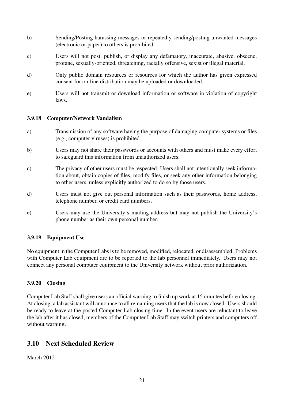- b) Sending/Posting harassing messages or repeatedly sending/posting unwanted messages (electronic or paper) to others is prohibited.
- c) Users will not post, publish, or display any defamatory, inaccurate, abusive, obscene, profane, sexually-oriented, threatening, racially offensive, sexist or illegal material.
- d) Only public domain resources or resources for which the author has given expressed consent for on-line distribution may be uploaded or downloaded.
- e) Users will not transmit or download information or software in violation of copyright laws.

#### 3.9.18 Computer/Network Vandalism

- a) Transmission of any software having the purpose of damaging computer systems or files (e.g., computer viruses) is prohibited.
- b) Users may not share their passwords or accounts with others and must make every effort to safeguard this information from unauthorized users.
- c) The privacy of other users must be respected. Users shall not intentionally seek information about, obtain copies of files, modify files, or seek any other information belonging to other users, unless explicitly authorized to do so by those users.
- d) Users must not give out personal information such as their passwords, home address, telephone number, or credit card numbers.
- e) Users may use the University's mailing address but may not publish the University's phone number as their own personal number.

#### 3.9.19 Equipment Use

No equipment in the Computer Labs is to be removed, modified, relocated, or disassembled. Problems with Computer Lab equipment are to be reported to the lab personnel immediately. Users may not connect any personal computer equipment to the University network without prior authorization.

#### 3.9.20 Closing

Computer Lab Staff shall give users an official warning to finish up work at 15 minutes before closing. At closing, a lab assistant will announce to all remaining users that the lab is now closed. Users should be ready to leave at the posted Computer Lab closing time. In the event users are reluctant to leave the lab after it has closed, members of the Computer Lab Staff may switch printers and computers off without warning.

#### 3.10 Next Scheduled Review

March 2012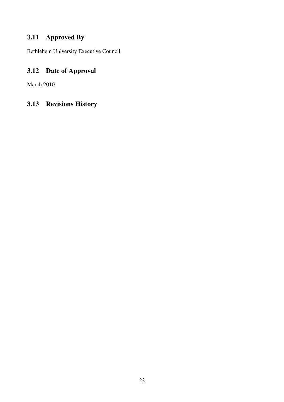## 3.11 Approved By

Bethlehem University Executive Council

## 3.12 Date of Approval

March 2010

## 3.13 Revisions History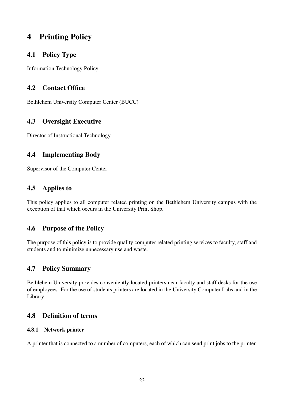## 4 Printing Policy

## 4.1 Policy Type

Information Technology Policy

## 4.2 Contact Office

Bethlehem University Computer Center (BUCC)

## 4.3 Oversight Executive

Director of Instructional Technology

## 4.4 Implementing Body

Supervisor of the Computer Center

### 4.5 Applies to

This policy applies to all computer related printing on the Bethlehem University campus with the exception of that which occurs in the University Print Shop.

## 4.6 Purpose of the Policy

The purpose of this policy is to provide quality computer related printing services to faculty, staff and students and to minimize unnecessary use and waste.

## 4.7 Policy Summary

Bethlehem University provides conveniently located printers near faculty and staff desks for the use of employees. For the use of students printers are located in the University Computer Labs and in the Library.

## 4.8 Definition of terms

#### 4.8.1 Network printer

A printer that is connected to a number of computers, each of which can send print jobs to the printer.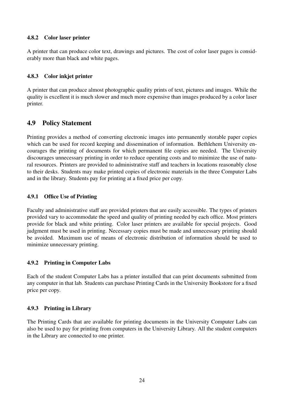#### 4.8.2 Color laser printer

A printer that can produce color text, drawings and pictures. The cost of color laser pages is considerably more than black and white pages.

#### 4.8.3 Color inkjet printer

A printer that can produce almost photographic quality prints of text, pictures and images. While the quality is excellent it is much slower and much more expensive than images produced by a color laser printer.

### 4.9 Policy Statement

Printing provides a method of converting electronic images into permanently storable paper copies which can be used for record keeping and dissemination of information. Bethlehem University encourages the printing of documents for which permanent file copies are needed. The University discourages unnecessary printing in order to reduce operating costs and to minimize the use of natural resources. Printers are provided to administrative staff and teachers in locations reasonably close to their desks. Students may make printed copies of electronic materials in the three Computer Labs and in the library. Students pay for printing at a fixed price per copy.

#### 4.9.1 Office Use of Printing

Faculty and administrative staff are provided printers that are easily accessible. The types of printers provided vary to accommodate the speed and quality of printing needed by each office. Most printers provide for black and white printing. Color laser printers are available for special projects. Good judgment must be used in printing. Necessary copies must be made and unnecessary printing should be avoided. Maximum use of means of electronic distribution of information should be used to minimize unnecessary printing.

#### 4.9.2 Printing in Computer Labs

Each of the student Computer Labs has a printer installed that can print documents submitted from any computer in that lab. Students can purchase Printing Cards in the University Bookstore for a fixed price per copy.

#### 4.9.3 Printing in Library

The Printing Cards that are available for printing documents in the University Computer Labs can also be used to pay for printing from computers in the University Library. All the student computers in the Library are connected to one printer.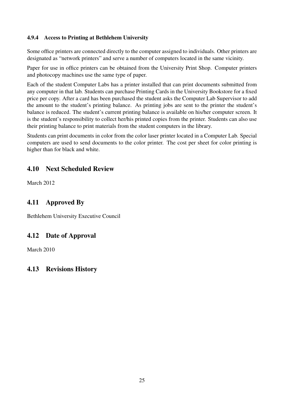#### 4.9.4 Access to Printing at Bethlehem University

Some office printers are connected directly to the computer assigned to individuals. Other printers are designated as "network printers" and serve a number of computers located in the same vicinity.

Paper for use in office printers can be obtained from the University Print Shop. Computer printers and photocopy machines use the same type of paper.

Each of the student Computer Labs has a printer installed that can print documents submitted from any computer in that lab. Students can purchase Printing Cards in the University Bookstore for a fixed price per copy. After a card has been purchased the student asks the Computer Lab Supervisor to add the amount to the student's printing balance. As printing jobs are sent to the printer the student's balance is reduced. The student's current printing balance is available on his/her computer screen. It is the student's responsibility to collect her/his printed copies from the printer. Students can also use their printing balance to print materials from the student computers in the library.

Students can print documents in color from the color laser printer located in a Computer Lab. Special computers are used to send documents to the color printer. The cost per sheet for color printing is higher than for black and white.

### 4.10 Next Scheduled Review

March 2012

## 4.11 Approved By

Bethlehem University Executive Council

### 4.12 Date of Approval

March 2010

### 4.13 Revisions History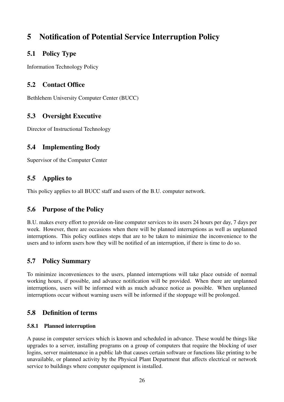## 5 Notification of Potential Service Interruption Policy

## 5.1 Policy Type

Information Technology Policy

## 5.2 Contact Office

Bethlehem University Computer Center (BUCC)

## 5.3 Oversight Executive

Director of Instructional Technology

## 5.4 Implementing Body

Supervisor of the Computer Center

## 5.5 Applies to

This policy applies to all BUCC staff and users of the B.U. computer network.

### 5.6 Purpose of the Policy

B.U. makes every effort to provide on-line computer services to its users 24 hours per day, 7 days per week. However, there are occasions when there will be planned interruptions as well as unplanned interruptions. This policy outlines steps that are to be taken to minimize the inconvenience to the users and to inform users how they will be notified of an interruption, if there is time to do so.

## 5.7 Policy Summary

To minimize inconveniences to the users, planned interruptions will take place outside of normal working hours, if possible, and advance notification will be provided. When there are unplanned interruptions, users will be informed with as much advance notice as possible. When unplanned interruptions occur without warning users will be informed if the stoppage will be prolonged.

## 5.8 Definition of terms

#### 5.8.1 Planned interruption

A pause in computer services which is known and scheduled in advance. These would be things like upgrades to a server, installing programs on a group of computers that require the blocking of user logins, server maintenance in a public lab that causes certain software or functions like printing to be unavailable, or planned activity by the Physical Plant Department that affects electrical or network service to buildings where computer equipment is installed.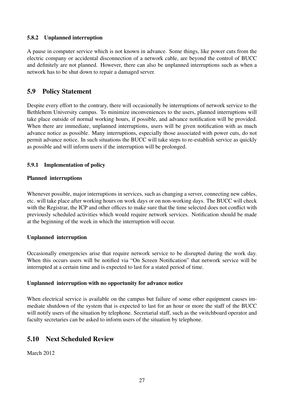#### 5.8.2 Unplanned interruption

A pause in computer service which is not known in advance. Some things, like power cuts from the electric company or accidental disconnection of a network cable, are beyond the control of BUCC and definitely are not planned. However, there can also be unplanned interruptions such as when a network has to be shut down to repair a damaged server.

### 5.9 Policy Statement

Despite every effort to the contrary, there will occasionally be interruptions of network service to the Bethlehem University campus. To minimize inconveniences to the users, planned interruptions will take place outside of normal working hours, if possible, and advance notification will be provided. When there are immediate, unplanned interruptions, users will be given notification with as much advance notice as possible. Many interruptions, especially those associated with power cuts, do not permit advance notice. In such situations the BUCC will take steps to re-establish service as quickly as possible and will inform users if the interruption will be prolonged.

#### 5.9.1 Implementation of policy

#### Planned interruptions

Whenever possible, major interruptions in services, such as changing a server, connecting new cables, etc. will take place after working hours on work days or on non-working days. The BUCC will check with the Registrar, the ICP and other offices to make sure that the time selected does not conflict with previously scheduled activities which would require network services. Notification should be made at the beginning of the week in which the interruption will occur.

#### Unplanned interruption

Occasionally emergencies arise that require network service to be disrupted during the work day. When this occurs users will be notified via "On Screen Notification" that network service will be interrupted at a certain time and is expected to last for a stated period of time.

#### Unplanned interruption with no opportunity for advance notice

When electrical service is available on the campus but failure of some other equipment causes immediate shutdown of the system that is expected to last for an hour or more the staff of the BUCC will notify users of the situation by telephone. Secretarial staff, such as the switchboard operator and faculty secretaries can be asked to inform users of the situation by telephone.

### 5.10 Next Scheduled Review

March 2012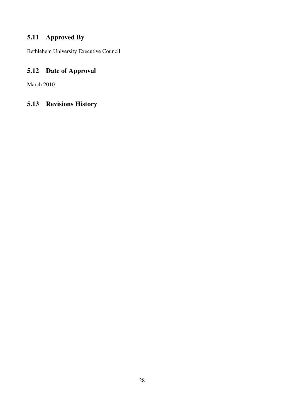## 5.11 Approved By

Bethlehem University Executive Council

## 5.12 Date of Approval

March 2010

## 5.13 Revisions History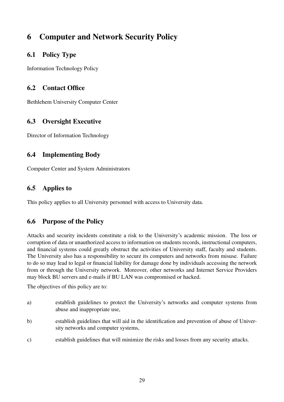## 6 Computer and Network Security Policy

## 6.1 Policy Type

Information Technology Policy

## 6.2 Contact Office

Bethlehem University Computer Center

## 6.3 Oversight Executive

Director of Information Technology

## 6.4 Implementing Body

Computer Center and System Administrators

## 6.5 Applies to

This policy applies to all University personnel with access to University data.

### 6.6 Purpose of the Policy

Attacks and security incidents constitute a risk to the University's academic mission. The loss or corruption of data or unauthorized access to information on students records, instructional computers, and financial systems could greatly obstruct the activities of University staff, faculty and students. The University also has a responsibility to secure its computers and networks from misuse. Failure to do so may lead to legal or financial liability for damage done by individuals accessing the network from or through the University network. Moreover, other networks and Internet Service Providers may block BU servers and e-mails if BU LAN was compromised or hacked.

The objectives of this policy are to:

- a) establish guidelines to protect the University's networks and computer systems from abuse and inappropriate use,
- b) establish guidelines that will aid in the identification and prevention of abuse of University networks and computer systems,
- c) establish guidelines that will minimize the risks and losses from any security attacks.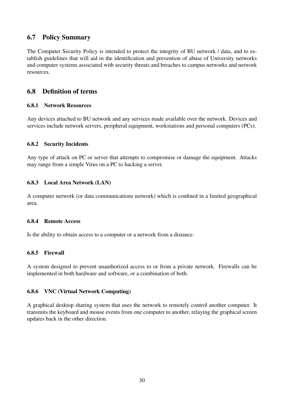## 6.7 Policy Summary

The Computer Security Policy is intended to protect the integrity of BU network / data, and to establish guidelines that will aid in the identification and prevention of abuse of University networks and computer systems associated with security threats and breaches to campus networks and network resources.

### 6.8 Definition of terms

#### 6.8.1 Network Resources

Any devices attached to BU network and any services made available over the network. Devices and services include network servers, peripheral equipment, workstations and personal computers (PCs).

#### 6.8.2 Security Incidents

Any type of attack on PC or server that attempts to compromise or damage the equipment. Attacks may range from a simple Virus on a PC to hacking a server.

#### 6.8.3 Local Area Network (LAN)

A computer network (or data communications network) which is confined in a limited geographical area.

#### 6.8.4 Remote Access

Is the ability to obtain access to a computer or a network from a distance.

#### 6.8.5 Firewall

A system designed to prevent unauthorized access to or from a private network. Firewalls can be implemented in both hardware and software, or a combination of both.

#### 6.8.6 VNC (Virtual Network Computing)

A graphical desktop sharing system that uses the network to remotely control another computer. It transmits the keyboard and mouse events from one computer to another, relaying the graphical screen updates back in the other direction.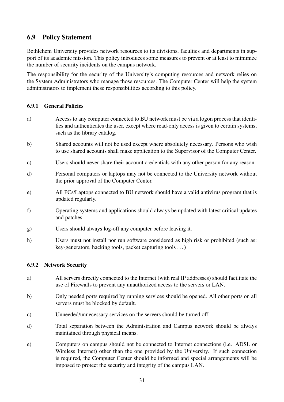## 6.9 Policy Statement

Bethlehem University provides network resources to its divisions, faculties and departments in support of its academic mission. This policy introduces some measures to prevent or at least to minimize the number of security incidents on the campus network.

The responsibility for the security of the University's computing resources and network relies on the System Administrators who manage those resources. The Computer Center will help the system administrators to implement these responsibilities according to this policy.

#### 6.9.1 General Policies

- a) Access to any computer connected to BU network must be via a logon process that identifies and authenticates the user, except where read-only access is given to certain systems, such as the library catalog.
- b) Shared accounts will not be used except where absolutely necessary. Persons who wish to use shared accounts shall make application to the Supervisor of the Computer Center.
- c) Users should never share their account credentials with any other person for any reason.
- d) Personal computers or laptops may not be connected to the University network without the prior approval of the Computer Center.
- e) All PCs/Laptops connected to BU network should have a valid antivirus program that is updated regularly.
- f) Operating systems and applications should always be updated with latest critical updates and patches.
- g) Users should always log-off any computer before leaving it.
- h) Users must not install nor run software considered as high risk or prohibited (such as: key-generators, hacking tools, packet capturing tools . . . )

#### 6.9.2 Network Security

- a) All servers directly connected to the Internet (with real IP addresses) should facilitate the use of Firewalls to prevent any unauthorized access to the servers or LAN.
- b) Only needed ports required by running services should be opened. All other ports on all servers must be blocked by default.
- c) Unneeded/unnecessary services on the servers should be turned off.
- d) Total separation between the Administration and Campus network should be always maintained through physical means.
- e) Computers on campus should not be connected to Internet connections (i.e. ADSL or Wireless Internet) other than the one provided by the University. If such connection is required, the Computer Center should be informed and special arrangements will be imposed to protect the security and integrity of the campus LAN.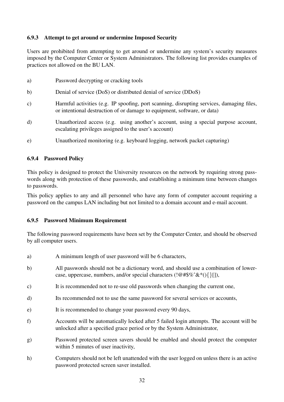#### 6.9.3 Attempt to get around or undermine Imposed Security

Users are prohibited from attempting to get around or undermine any system's security measures imposed by the Computer Center or System Administrators. The following list provides examples of practices not allowed on the BU LAN.

| a)            | Password decrypting or cracking tools                                                                                                                                 |
|---------------|-----------------------------------------------------------------------------------------------------------------------------------------------------------------------|
| b)            | Denial of service (DoS) or distributed denial of service (DDoS)                                                                                                       |
| $\mathbf{c})$ | Harmful activities (e.g. IP spoofing, port scanning, disrupting services, damaging files,<br>or intentional destruction of or damage to equipment, software, or data) |
| $\mathbf{d}$  | Unauthorized access (e.g. using another's account, using a special purpose account,<br>escalating privileges assigned to the user's account)                          |
| $\epsilon$    | Unauthorized monitoring (e.g. keyboard logging, network packet capturing)                                                                                             |

#### 6.9.4 Password Policy

This policy is designed to protect the University resources on the network by requiring strong passwords along with protection of these passwords, and establishing a minimum time between changes to passwords.

This policy applies to any and all personnel who have any form of computer account requiring a password on the campus LAN including but not limited to a domain account and e-mail account.

#### 6.9.5 Password Minimum Requirement

The following password requirements have been set by the Computer Center, and should be observed by all computer users.

- a) A minimum length of user password will be 6 characters,
- b) All passwords should not be a dictionary word, and should use a combination of lowercase, uppercase, numbers, and/or special characters ( $\langle \mathcal{Q} \# \mathcal{G} \mathcal{G} \times \mathcal{E}^* (\cdot) \{ \} | \cdot \rangle$ ),
- c) It is recommended not to re-use old passwords when changing the current one,
- d) Its recommended not to use the same password for several services or accounts,
- e) It is recommended to change your password every 90 days,
- f) Accounts will be automatically locked after 5 failed login attempts. The account will be unlocked after a specified grace period or by the System Administrator,
- g) Password protected screen savers should be enabled and should protect the computer within 5 minutes of user inactivity,
- h) Computers should not be left unattended with the user logged on unless there is an active password protected screen saver installed.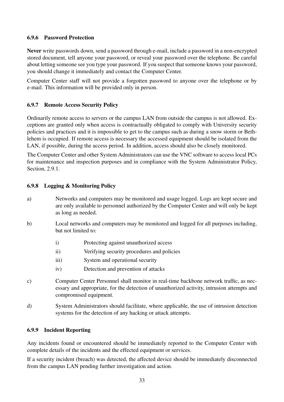#### 6.9.6 Password Protection

Never write passwords down, send a password through e-mail, include a password in a non-encrypted stored document, tell anyone your password, or reveal your password over the telephone. Be careful about letting someone see you type your password. If you suspect that someone knows your password, you should change it immediately and contact the Computer Center.

Computer Center staff will not provide a forgotten password to anyone over the telephone or by e-mail. This information will be provided only in person.

#### 6.9.7 Remote Access Security Policy

Ordinarily remote access to servers or the campus LAN from outside the campus is not allowed. Exceptions are granted only when access is contractually obligated to comply with University security policies and practices and it is impossible to get to the campus such as during a snow storm or Bethlehem is occupied. If remote access is necessary the accessed equipment should be isolated from the LAN, if possible, during the access period. In addition, access should also be closely monitored.

The Computer Center and other System Administrators can use the VNC software to access local PCs for maintenance and inspection purposes and in compliance with the System Administrator Policy, Section, 2.9.1.

#### 6.9.8 Logging & Monitoring Policy

- a) Networks and computers may be monitored and usage logged. Logs are kept secure and are only available to personnel authorized by the Computer Center and will only be kept as long as needed.
- b) Local networks and computers may be monitored and logged for all purposes including, but not limited to:
	- i) Protecting against unauthorized access
	- ii) Verifying security procedures and policies
	- iii) System and operational security
	- iv) Detection and prevention of attacks
- c) Computer Center Personnel shall monitor in real-time backbone network traffic, as necessary and appropriate, for the detection of unauthorized activity, intrusion attempts and compromised equipment.
- d) System Administrators should facilitate, where applicable, the use of intrusion detection systems for the detection of any hacking or attack attempts.

#### 6.9.9 Incident Reporting

Any incidents found or encountered should be immediately reported to the Computer Center with complete details of the incidents and the effected equipment or services.

If a security incident (breach) was detected, the affected device should be immediately disconnected from the campus LAN pending further investigation and action.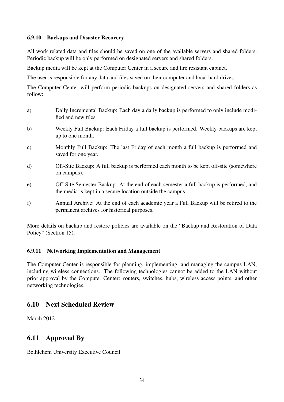#### 6.9.10 Backups and Disaster Recovery

All work related data and files should be saved on one of the available servers and shared folders. Periodic backup will be only performed on designated servers and shared folders.

Backup media will be kept at the Computer Center in a secure and fire resistant cabinet.

The user is responsible for any data and files saved on their computer and local hard drives.

The Computer Center will perform periodic backups on designated servers and shared folders as follow:

- a) Daily Incremental Backup: Each day a daily backup is performed to only include modified and new files.
- b) Weekly Full Backup: Each Friday a full backup is performed. Weekly backups are kept up to one month.
- c) Monthly Full Backup: The last Friday of each month a full backup is performed and saved for one year.
- d) Off-Site Backup: A full backup is performed each month to be kept off-site (somewhere on campus).
- e) Off-Site Semester Backup: At the end of each semester a full backup is performed, and the media is kept in a secure location outside the campus.
- f) Annual Archive: At the end of each academic year a Full Backup will be retired to the permanent archives for historical purposes.

More details on backup and restore policies are available on the "Backup and Restoration of Data Policy" (Section 15).

#### 6.9.11 Networking Implementation and Management

The Computer Center is responsible for planning, implementing, and managing the campus LAN, including wireless connections. The following technologies cannot be added to the LAN without prior approval by the Computer Center: routers, switches, hubs, wireless access points, and other networking technologies.

# 6.10 Next Scheduled Review

March 2012

# 6.11 Approved By

Bethlehem University Executive Council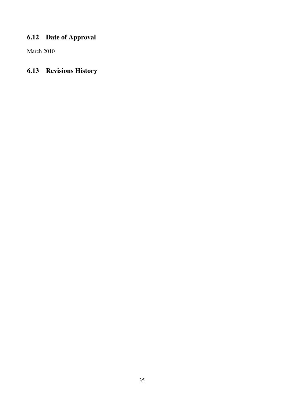# 6.12 Date of Approval

March 2010

# 6.13 Revisions History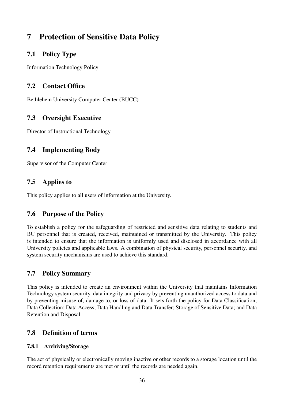# 7 Protection of Sensitive Data Policy

# 7.1 Policy Type

Information Technology Policy

# 7.2 Contact Office

Bethlehem University Computer Center (BUCC)

# 7.3 Oversight Executive

Director of Instructional Technology

# 7.4 Implementing Body

Supervisor of the Computer Center

# 7.5 Applies to

This policy applies to all users of information at the University.

# 7.6 Purpose of the Policy

To establish a policy for the safeguarding of restricted and sensitive data relating to students and BU personnel that is created, received, maintained or transmitted by the University. This policy is intended to ensure that the information is uniformly used and disclosed in accordance with all University policies and applicable laws. A combination of physical security, personnel security, and system security mechanisms are used to achieve this standard.

# 7.7 Policy Summary

This policy is intended to create an environment within the University that maintains Information Technology system security, data integrity and privacy by preventing unauthorized access to data and by preventing misuse of, damage to, or loss of data. It sets forth the policy for Data Classification; Data Collection; Data Access; Data Handling and Data Transfer; Storage of Sensitive Data; and Data Retention and Disposal.

# 7.8 Definition of terms

#### 7.8.1 Archiving/Storage

The act of physically or electronically moving inactive or other records to a storage location until the record retention requirements are met or until the records are needed again.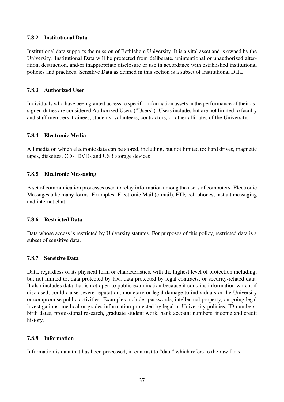#### 7.8.2 Institutional Data

Institutional data supports the mission of Bethlehem University. It is a vital asset and is owned by the University. Institutional Data will be protected from deliberate, unintentional or unauthorized alteration, destruction, and/or inappropriate disclosure or use in accordance with established institutional policies and practices. Sensitive Data as defined in this section is a subset of Institutional Data.

#### 7.8.3 Authorized User

Individuals who have been granted access to specific information assets in the performance of their assigned duties are considered Authorized Users ("Users"). Users include, but are not limited to faculty and staff members, trainees, students, volunteers, contractors, or other affiliates of the University.

#### 7.8.4 Electronic Media

All media on which electronic data can be stored, including, but not limited to: hard drives, magnetic tapes, diskettes, CDs, DVDs and USB storage devices

#### 7.8.5 Electronic Messaging

A set of communication processes used to relay information among the users of computers. Electronic Messages take many forms. Examples: Electronic Mail (e-mail), FTP, cell phones, instant messaging and internet chat.

#### 7.8.6 Restricted Data

Data whose access is restricted by University statutes. For purposes of this policy, restricted data is a subset of sensitive data.

#### 7.8.7 Sensitive Data

Data, regardless of its physical form or characteristics, with the highest level of protection including, but not limited to, data protected by law, data protected by legal contracts, or security-related data. It also includes data that is not open to public examination because it contains information which, if disclosed, could cause severe reputation, monetary or legal damage to individuals or the University or compromise public activities. Examples include: passwords, intellectual property, on-going legal investigations, medical or grades information protected by legal or University policies, ID numbers, birth dates, professional research, graduate student work, bank account numbers, income and credit history.

#### 7.8.8 Information

Information is data that has been processed, in contrast to "data" which refers to the raw facts.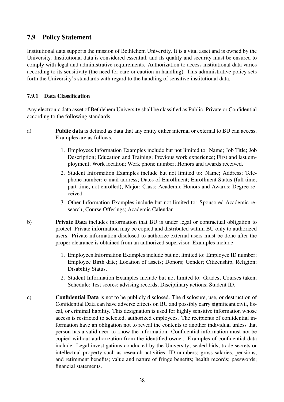### 7.9 Policy Statement

Institutional data supports the mission of Bethlehem University. It is a vital asset and is owned by the University. Institutional data is considered essential, and its quality and security must be ensured to comply with legal and administrative requirements. Authorization to access institutional data varies according to its sensitivity (the need for care or caution in handling). This administrative policy sets forth the University's standards with regard to the handling of sensitive institutional data.

#### 7.9.1 Data Classification

Any electronic data asset of Bethlehem University shall be classified as Public, Private or Confidential according to the following standards.

- a) Public data is defined as data that any entity either internal or external to BU can access. Examples are as follows.
	- 1. Employees Information Examples include but not limited to: Name; Job Title; Job Description; Education and Training; Previous work experience; First and last employment; Work location; Work phone number; Honors and awards received.
	- 2. Student Information Examples include but not limited to: Name; Address; Telephone number; e-mail address; Dates of Enrollment; Enrollment Status (full time, part time, not enrolled); Major; Class; Academic Honors and Awards; Degree received.
	- 3. Other Information Examples include but not limited to: Sponsored Academic research; Course Offerings; Academic Calendar.
- b) Private Data includes information that BU is under legal or contractual obligation to protect. Private information may be copied and distributed within BU only to authorized users. Private information disclosed to authorize external users must be done after the proper clearance is obtained from an authorized supervisor. Examples include:
	- 1. Employees Information Examples include but not limited to: Employee ID number; Employee Birth date; Location of assets; Donors; Gender; Citizenship, Religion; Disability Status.
	- 2. Student Information Examples include but not limited to: Grades; Courses taken; Schedule; Test scores; advising records; Disciplinary actions; Student ID.
- c) Confidential Data is not to be publicly disclosed. The disclosure, use, or destruction of Confidential Data can have adverse effects on BU and possibly carry significant civil, fiscal, or criminal liability. This designation is used for highly sensitive information whose access is restricted to selected, authorized employees. The recipients of confidential information have an obligation not to reveal the contents to another individual unless that person has a valid need to know the information. Confidential information must not be copied without authorization from the identified owner. Examples of confidential data include: Legal investigations conducted by the University; sealed bids; trade secrets or intellectual property such as research activities; ID numbers; gross salaries, pensions, and retirement benefits; value and nature of fringe benefits; health records; passwords; financial statements.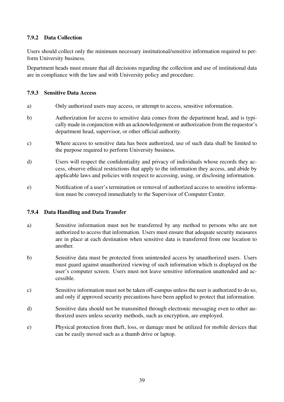#### 7.9.2 Data Collection

Users should collect only the minimum necessary institutional/sensitive information required to perform University business.

Department heads must ensure that all decisions regarding the collection and use of institutional data are in compliance with the law and with University policy and procedure.

#### 7.9.3 Sensitive Data Access

- a) Only authorized users may access, or attempt to access, sensitive information.
- b) Authorization for access to sensitive data comes from the department head, and is typically made in conjunction with an acknowledgement or authorization from the requestor's department head, supervisor, or other official authority.
- c) Where access to sensitive data has been authorized, use of such data shall be limited to the purpose required to perform University business.
- d) Users will respect the confidentiality and privacy of individuals whose records they access, observe ethical restrictions that apply to the information they access, and abide by applicable laws and policies with respect to accessing, using, or disclosing information.
- e) Notification of a user's termination or removal of authorized access to sensitive information must be conveyed immediately to the Supervisor of Computer Center.

#### 7.9.4 Data Handling and Data Transfer

- a) Sensitive information must not be transferred by any method to persons who are not authorized to access that information. Users must ensure that adequate security measures are in place at each destination when sensitive data is transferred from one location to another.
- b) Sensitive data must be protected from unintended access by unauthorized users. Users must guard against unauthorized viewing of such information which is displayed on the user's computer screen. Users must not leave sensitive information unattended and accessible.
- c) Sensitive information must not be taken off-campus unless the user is authorized to do so, and only if approved security precautions have been applied to protect that information.
- d) Sensitive data should not be transmitted through electronic messaging even to other authorized users unless security methods, such as encryption, are employed.
- e) Physical protection from theft, loss, or damage must be utilized for mobile devices that can be easily moved such as a thumb drive or laptop.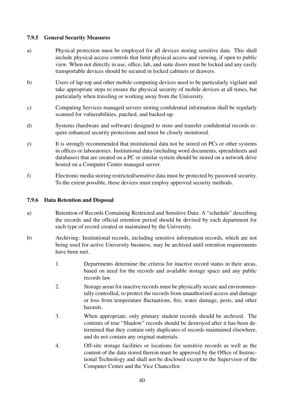#### 7.9.5 General Security Measures

- a) Physical protection must be employed for all devices storing sensitive data. This shall include physical access controls that limit physical access and viewing, if open to public view. When not directly in use, office, lab, and suite doors must be locked and any easily transportable devices should be secured in locked cabinets or drawers.
- b) Users of lap-top and other mobile computing devices need to be particularly vigilant and take appropriate steps to ensure the physical security of mobile devices at all times, but particularly when traveling or working away from the University.
- c) Computing Services managed servers storing confidential information shall be regularly scanned for vulnerabilities, patched, and backed-up.
- d) Systems (hardware and software) designed to store and transfer confidential records require enhanced security protections and must be closely monitored.
- e) It is strongly recommended that institutional data not be stored on PCs or other systems in offices or laboratories. Institutional data (including word documents, spreadsheets and databases) that are created on a PC or similar system should be stored on a network drive hosted on a Computer Center managed server.
- f) Electronic media storing restricted/sensitive data must be protected by password security. To the extent possible, these devices must employ approved security methods.

#### 7.9.6 Data Retention and Disposal

- a) Retention of Records Containing Restricted and Sensitive Data: A "schedule" describing the records and the official retention period should be devised by each department for each type of record created or maintained by the University.
- b) Archiving: Institutional records, including sensitive information records, which are not being used for active University business, may be archived until retention requirements have been met.
	- 1. Departments determine the criteria for inactive record status in their areas, based on need for the records and available storage space and any public records law.
	- 2. Storage areas for inactive records must be physically secure and environmentally controlled, to protect the records from unauthorized access and damage or loss from temperature fluctuations, fire, water damage, pests, and other hazards.
	- 3. When appropriate, only primary student records should be archived. The contents of true "Shadow" records should be destroyed after it has been determined that they contain only duplicates of records maintained elsewhere, and do not contain any original materials.
	- 4. Off-site storage facilities or locations for sensitive records as well as the content of the data stored therein must be approved by the Office of Instructional Technology and shall not be disclosed except to the Supervisor of the Computer Center and the Vice Chancellor.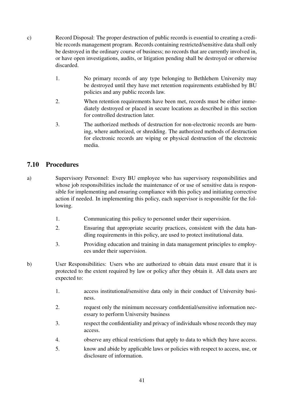- c) Record Disposal: The proper destruction of public records is essential to creating a credible records management program. Records containing restricted/sensitive data shall only be destroyed in the ordinary course of business; no records that are currently involved in, or have open investigations, audits, or litigation pending shall be destroyed or otherwise discarded.
	- 1. No primary records of any type belonging to Bethlehem University may be destroyed until they have met retention requirements established by BU policies and any public records law.
	- 2. When retention requirements have been met, records must be either immediately destroyed or placed in secure locations as described in this section for controlled destruction later.
	- 3. The authorized methods of destruction for non-electronic records are burning, where authorized, or shredding. The authorized methods of destruction for electronic records are wiping or physical destruction of the electronic media.

# 7.10 Procedures

- a) Supervisory Personnel: Every BU employee who has supervisory responsibilities and whose job responsibilities include the maintenance of or use of sensitive data is responsible for implementing and ensuring compliance with this policy and initiating corrective action if needed. In implementing this policy, each supervisor is responsible for the following.
	- 1. Communicating this policy to personnel under their supervision.
	- 2. Ensuring that appropriate security practices, consistent with the data handling requirements in this policy, are used to protect institutional data.
	- 3. Providing education and training in data management principles to employees under their supervision.
- b) User Responsibilities: Users who are authorized to obtain data must ensure that it is protected to the extent required by law or policy after they obtain it. All data users are expected to:
	- 1. access institutional/sensitive data only in their conduct of University business.
	- 2. request only the minimum necessary confidential/sensitive information necessary to perform University business
	- 3. respect the confidentiality and privacy of individuals whose records they may access.
	- 4. observe any ethical restrictions that apply to data to which they have access.
	- 5. know and abide by applicable laws or policies with respect to access, use, or disclosure of information.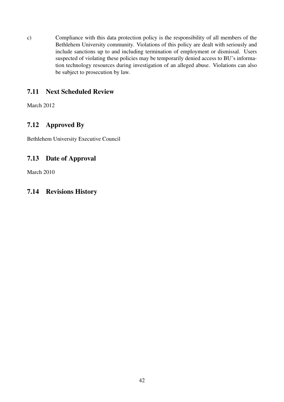c) Compliance with this data protection policy is the responsibility of all members of the Bethlehem University community. Violations of this policy are dealt with seriously and include sanctions up to and including termination of employment or dismissal. Users suspected of violating these policies may be temporarily denied access to BU's information technology resources during investigation of an alleged abuse. Violations can also be subject to prosecution by law.

# 7.11 Next Scheduled Review

March 2012

# 7.12 Approved By

Bethlehem University Executive Council

# 7.13 Date of Approval

March 2010

# 7.14 Revisions History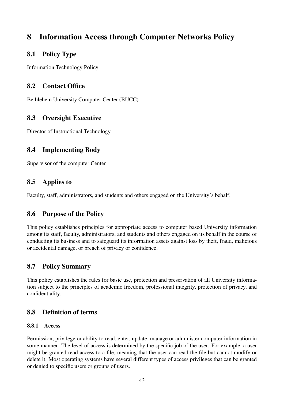# 8 Information Access through Computer Networks Policy

### 8.1 Policy Type

Information Technology Policy

# 8.2 Contact Office

Bethlehem University Computer Center (BUCC)

# 8.3 Oversight Executive

Director of Instructional Technology

# 8.4 Implementing Body

Supervisor of the computer Center

# 8.5 Applies to

Faculty, staff, administrators, and students and others engaged on the University's behalf.

# 8.6 Purpose of the Policy

This policy establishes principles for appropriate access to computer based University information among its staff, faculty, administrators, and students and others engaged on its behalf in the course of conducting its business and to safeguard its information assets against loss by theft, fraud, malicious or accidental damage, or breach of privacy or confidence.

# 8.7 Policy Summary

This policy establishes the rules for basic use, protection and preservation of all University information subject to the principles of academic freedom, professional integrity, protection of privacy, and confidentiality.

# 8.8 Definition of terms

#### 8.8.1 Access

Permission, privilege or ability to read, enter, update, manage or administer computer information in some manner. The level of access is determined by the specific job of the user. For example, a user might be granted read access to a file, meaning that the user can read the file but cannot modify or delete it. Most operating systems have several different types of access privileges that can be granted or denied to specific users or groups of users.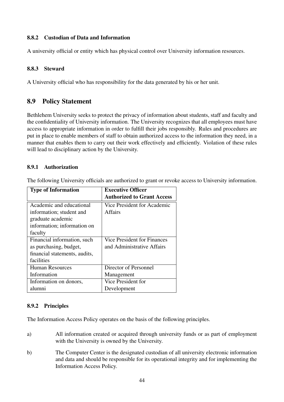#### 8.8.2 Custodian of Data and Information

A university official or entity which has physical control over University information resources.

#### 8.8.3 Steward

A University official who has responsibility for the data generated by his or her unit.

### 8.9 Policy Statement

Bethlehem University seeks to protect the privacy of information about students, staff and faculty and the confidentiality of University information. The University recognizes that all employees must have access to appropriate information in order to fulfill their jobs responsibly. Rules and procedures are put in place to enable members of staff to obtain authorized access to the information they need, in a manner that enables them to carry out their work effectively and efficiently. Violation of these rules will lead to disciplinary action by the University.

#### 8.9.1 Authorization

The following University officials are authorized to grant or revoke access to University information.

| <b>Type of Information</b>    | <b>Executive Officer</b>          |
|-------------------------------|-----------------------------------|
|                               | <b>Authorized to Grant Access</b> |
| Academic and educational      | Vice President for Academic       |
| information; student and      | Affairs                           |
| graduate academic             |                                   |
| information; information on   |                                   |
| faculty                       |                                   |
| Financial information, such   | Vice President for Finances       |
| as purchasing, budget,        | and Administrative Affairs        |
| financial statements, audits, |                                   |
| facilities                    |                                   |
| <b>Human Resources</b>        | Director of Personnel             |
| Information                   | Management                        |
| Information on donors,        | Vice President for                |
| alumnı                        | Development                       |

#### 8.9.2 Principles

The Information Access Policy operates on the basis of the following principles.

- a) All information created or acquired through university funds or as part of employment with the University is owned by the University.
- b) The Computer Center is the designated custodian of all university electronic information and data and should be responsible for its operational integrity and for implementing the Information Access Policy.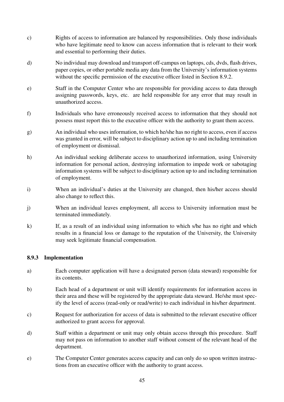- c) Rights of access to information are balanced by responsibilities. Only those individuals who have legitimate need to know can access information that is relevant to their work and essential to performing their duties.
- d) No individual may download and transport off-campus on laptops, cds, dvds, flash drives, paper copies, or other portable media any data from the University's information systems without the specific permission of the executive officer listed in Section 8.9.2.
- e) Staff in the Computer Center who are responsible for providing access to data through assigning passwords, keys, etc. are held responsible for any error that may result in unauthorized access.
- f) Individuals who have erroneously received access to information that they should not possess must report this to the executive officer with the authority to grant them access.
- g) An individual who uses information, to which he/she has no right to access, even if access was granted in error, will be subject to disciplinary action up to and including termination of employment or dismissal.
- h) An individual seeking deliberate access to unauthorized information, using University information for personal action, destroying information to impede work or sabotaging information systems will be subject to disciplinary action up to and including termination of employment.
- i) When an individual's duties at the University are changed, then his/her access should also change to reflect this.
- j) When an individual leaves employment, all access to University information must be terminated immediately.
- k) If, as a result of an individual using information to which s/he has no right and which results in a financial loss or damage to the reputation of the University, the University may seek legitimate financial compensation.

#### 8.9.3 Implementation

- a) Each computer application will have a designated person (data steward) responsible for its contents.
- b) Each head of a department or unit will identify requirements for information access in their area and these will be registered by the appropriate data steward. He/she must specify the level of access (read-only or read/write) to each individual in his/her department.
- c) Request for authorization for access of data is submitted to the relevant executive officer authorized to grant access for approval.
- d) Staff within a department or unit may only obtain access through this procedure. Staff may not pass on information to another staff without consent of the relevant head of the department.
- e) The Computer Center generates access capacity and can only do so upon written instructions from an executive officer with the authority to grant access.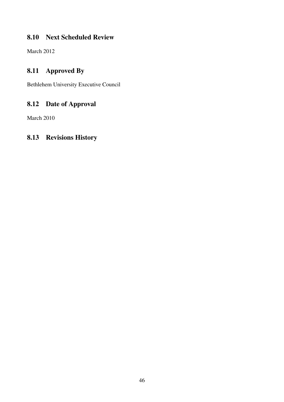# 8.10 Next Scheduled Review

March 2012

# 8.11 Approved By

Bethlehem University Executive Council

# 8.12 Date of Approval

March 2010

# 8.13 Revisions History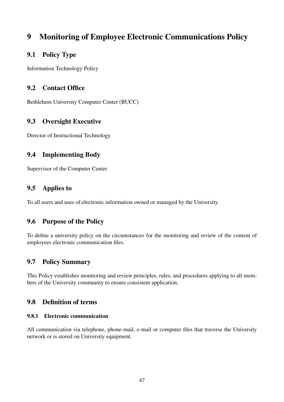# 9 Monitoring of Employee Electronic Communications Policy

# 9.1 Policy Type

Information Technology Policy

# 9.2 Contact Office

Bethlehem University Computer Center (BUCC)

# 9.3 Oversight Executive

Director of Instructional Technology

# 9.4 Implementing Body

Supervisor of the Computer Center

# 9.5 Applies to

To all users and uses of electronic information owned or managed by the University.

# 9.6 Purpose of the Policy

To define a university policy on the circumstances for the monitoring and review of the content of employees electronic communication files.

# 9.7 Policy Summary

This Policy establishes monitoring and review principles, rules, and procedures applying to all members of the University community to ensure consistent application.

# 9.8 Definition of terms

#### 9.8.1 Electronic communication

All communication via telephone, phone-mail, e-mail or computer files that traverse the University network or is stored on University equipment.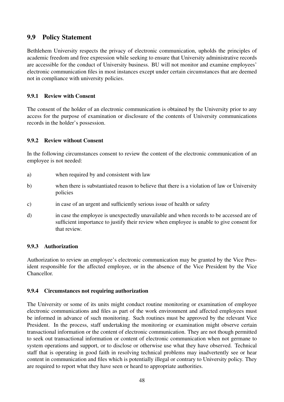# 9.9 Policy Statement

Bethlehem University respects the privacy of electronic communication, upholds the principles of academic freedom and free expression while seeking to ensure that University administrative records are accessible for the conduct of University business. BU will not monitor and examine employees' electronic communication files in most instances except under certain circumstances that are deemed not in compliance with university policies.

### 9.9.1 Review with Consent

The consent of the holder of an electronic communication is obtained by the University prior to any access for the purpose of examination or disclosure of the contents of University communications records in the holder's possession.

#### 9.9.2 Review without Consent

In the following circumstances consent to review the content of the electronic communication of an employee is not needed:

- a) when required by and consistent with law
- b) when there is substantiated reason to believe that there is a violation of law or University policies
- c) in case of an urgent and sufficiently serious issue of health or safety
- d) in case the employee is unexpectedly unavailable and when records to be accessed are of sufficient importance to justify their review when employee is unable to give consent for that review.

#### 9.9.3 Authorization

Authorization to review an employee's electronic communication may be granted by the Vice President responsible for the affected employee, or in the absence of the Vice President by the Vice Chancellor.

#### 9.9.4 Circumstances not requiring authorization

The University or some of its units might conduct routine monitoring or examination of employee electronic communications and files as part of the work environment and affected employees must be informed in advance of such monitoring. Such routines must be approved by the relevant Vice President. In the process, staff undertaking the monitoring or examination might observe certain transactional information or the content of electronic communication. They are not though permitted to seek out transactional information or content of electronic communication when not germane to system operations and support, or to disclose or otherwise use what they have observed. Technical staff that is operating in good faith in resolving technical problems may inadvertently see or hear content in communication and files which is potentially illegal or contrary to University policy. They are required to report what they have seen or heard to appropriate authorities.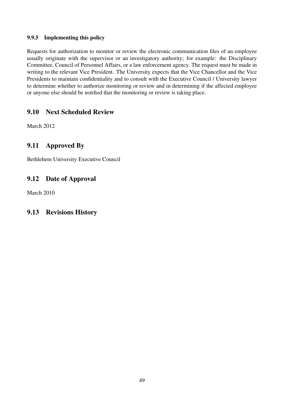#### 9.9.5 Implementing this policy

Requests for authorization to monitor or review the electronic communication files of an employee usually originate with the supervisor or an investigatory authority; for example: the Disciplinary Committee, Council of Personnel Affairs, or a law enforcement agency. The request must be made in writing to the relevant Vice President. The University expects that the Vice Chancellor and the Vice Presidents to maintain confidentiality and to consult with the Executive Council / University lawyer to determine whether to authorize monitoring or review and in determining if the affected employee or anyone else should be notified that the monitoring or review is taking place.

# 9.10 Next Scheduled Review

March 2012

# 9.11 Approved By

Bethlehem University Executive Council

# 9.12 Date of Approval

March 2010

# 9.13 Revisions History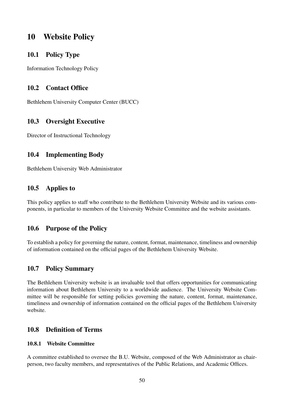# 10 Website Policy

### 10.1 Policy Type

Information Technology Policy

### 10.2 Contact Office

Bethlehem University Computer Center (BUCC)

### 10.3 Oversight Executive

Director of Instructional Technology

# 10.4 Implementing Body

Bethlehem University Web Administrator

# 10.5 Applies to

This policy applies to staff who contribute to the Bethlehem University Website and its various components, in particular to members of the University Website Committee and the website assistants.

# 10.6 Purpose of the Policy

To establish a policy for governing the nature, content, format, maintenance, timeliness and ownership of information contained on the official pages of the Bethlehem University Website.

### 10.7 Policy Summary

The Bethlehem University website is an invaluable tool that offers opportunities for communicating information about Bethlehem University to a worldwide audience. The University Website Committee will be responsible for setting policies governing the nature, content, format, maintenance, timeliness and ownership of information contained on the official pages of the Bethlehem University website.

### 10.8 Definition of Terms

#### 10.8.1 Website Committee

A committee established to oversee the B.U. Website, composed of the Web Administrator as chairperson, two faculty members, and representatives of the Public Relations, and Academic Offices.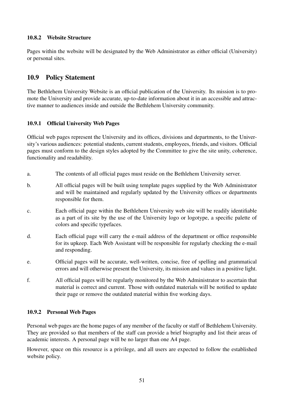### 10.8.2 Website Structure

Pages within the website will be designated by the Web Administrator as either official (University) or personal sites.

# 10.9 Policy Statement

The Bethlehem University Website is an official publication of the University. Its mission is to promote the University and provide accurate, up-to-date information about it in an accessible and attractive manner to audiences inside and outside the Bethlehem University community.

### 10.9.1 Official University Web Pages

Official web pages represent the University and its offices, divisions and departments, to the University's various audiences: potential students, current students, employees, friends, and visitors. Official pages must conform to the design styles adopted by the Committee to give the site unity, coherence, functionality and readability.

- a. The contents of all official pages must reside on the Bethlehem University server.
- b. All official pages will be built using template pages supplied by the Web Administrator and will be maintained and regularly updated by the University offices or departments responsible for them.
- c. Each official page within the Bethlehem University web site will be readily identifiable as a part of its site by the use of the University logo or logotype, a specific palette of colors and specific typefaces.
- d. Each official page will carry the e-mail address of the department or office responsible for its upkeep. Each Web Assistant will be responsible for regularly checking the e-mail and responding.
- e. Official pages will be accurate, well-written, concise, free of spelling and grammatical errors and will otherwise present the University, its mission and values in a positive light.
- f. All official pages will be regularly monitored by the Web Administrator to ascertain that material is correct and current. Those with outdated materials will be notified to update their page or remove the outdated material within five working days.

#### 10.9.2 Personal Web Pages

Personal web pages are the home pages of any member of the faculty or staff of Bethlehem University. They are provided so that members of the staff can provide a brief biography and list their areas of academic interests. A personal page will be no larger than one A4 page.

However, space on this resource is a privilege, and all users are expected to follow the established website policy.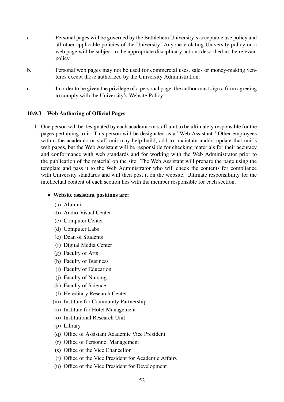- a. Personal pages will be governed by the Bethlehem University's acceptable use policy and all other applicable policies of the University. Anyone violating University policy on a web page will be subject to the appropriate disciplinary actions described in the relevant policy.
- b. Personal web pages may not be used for commercial uses, sales or money-making ventures except those authorized by the University Administration.
- c. In order to be given the privilege of a personal page, the author must sign a form agreeing to comply with the University's Website Policy.

#### 10.9.3 Web Authoring of Official Pages

1. One person will be designated by each academic or staff unit to be ultimately responsible for the pages pertaining to it. This person will be designated as a "Web Assistant." Other employees within the academic or staff unit may help build, add to, maintain and/or update that unit's web pages, but the Web Assistant will be responsible for checking materials for their accuracy and conformance with web standards and for working with the Web Administrator prior to the publication of the material on the site. The Web Assistant will prepare the page using the template and pass it to the Web Administrator who will check the contents for compliance with University standards and will then post it on the website. Ultimate responsibility for the intellectual content of each section lies with the member responsible for each section.

#### • Website assistant positions are:

- (a) Alumni
- (b) Audio-Visual Center
- (c) Computer Center
- (d) Computer Labs
- (e) Dean of Students
- (f) Digital Media Center
- (g) Faculty of Arts
- (h) Faculty of Business
- (i) Faculty of Education
- (j) Faculty of Nursing
- (k) Faculty of Science
- (l) Hereditary Research Center
- (m) Institute for Community Partnership
- (n) Institute for Hotel Management
- (o) Institutional Research Unit
- (p) Library
- (q) Office of Assistant Academic Vice President
- (r) Office of Personnel Management
- (s) Office of the Vice Chancellor
- (t) Office of the Vice President for Academic Affairs
- (u) Office of the Vice President for Development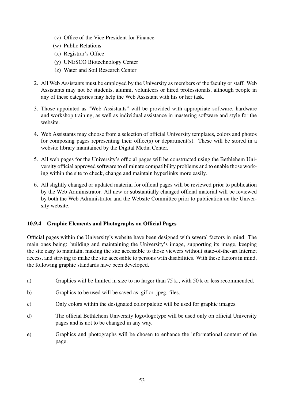- (v) Office of the Vice President for Finance
- (w) Public Relations
- (x) Registrar's Office
- (y) UNESCO Biotechnology Center
- (z) Water and Soil Research Center
- 2. All Web Assistants must be employed by the University as members of the faculty or staff. Web Assistants may not be students, alumni, volunteers or hired professionals, although people in any of these categories may help the Web Assistant with his or her task.
- 3. Those appointed as "Web Assistants" will be provided with appropriate software, hardware and workshop training, as well as individual assistance in mastering software and style for the website.
- 4. Web Assistants may choose from a selection of official University templates, colors and photos for composing pages representing their office(s) or department(s). These will be stored in a website library maintained by the Digital Media Center.
- 5. All web pages for the University's official pages will be constructed using the Bethlehem University official approved software to eliminate compatibility problems and to enable those working within the site to check, change and maintain hyperlinks more easily.
- 6. All slightly changed or updated material for official pages will be reviewed prior to publication by the Web Administrator. All new or substantially changed official material will be reviewed by both the Web Administrator and the Website Committee prior to publication on the University website.

### 10.9.4 Graphic Elements and Photographs on Official Pages

Official pages within the University's website have been designed with several factors in mind. The main ones being: building and maintaining the University's image, supporting its image, keeping the site easy to maintain, making the site accessible to those viewers without state-of-the-art Internet access, and striving to make the site accessible to persons with disabilities. With these factors in mind, the following graphic standards have been developed.

- a) Graphics will be limited in size to no larger than 75 k., with 50 k or less recommended.
- b) Graphics to be used will be saved as .gif or .jpeg. files.
- c) Only colors within the designated color palette will be used for graphic images.
- d) The official Bethlehem University logo/logotype will be used only on official University pages and is not to be changed in any way.
- e) Graphics and photographs will be chosen to enhance the informational content of the page.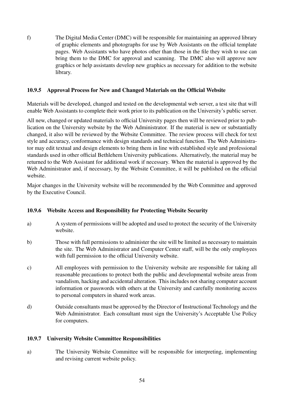f) The Digital Media Center (DMC) will be responsible for maintaining an approved library of graphic elements and photographs for use by Web Assistants on the official template pages. Web Assistants who have photos other than those in the file they wish to use can bring them to the DMC for approval and scanning. The DMC also will approve new graphics or help assistants develop new graphics as necessary for addition to the website library.

### 10.9.5 Approval Process for New and Changed Materials on the Official Website

Materials will be developed, changed and tested on the developmental web server, a test site that will enable Web Assistants to complete their work prior to its publication on the University's public server.

All new, changed or updated materials to official University pages then will be reviewed prior to publication on the University website by the Web Administrator. If the material is new or substantially changed, it also will be reviewed by the Website Committee. The review process will check for text style and accuracy, conformance with design standards and technical function. The Web Administrator may edit textual and design elements to bring them in line with established style and professional standards used in other official Bethlehem University publications. Alternatively, the material may be returned to the Web Assistant for additional work if necessary. When the material is approved by the Web Administrator and, if necessary, by the Website Committee, it will be published on the official website.

Major changes in the University website will be recommended by the Web Committee and approved by the Executive Council.

### 10.9.6 Website Access and Responsibility for Protecting Website Security

- a) A system of permissions will be adopted and used to protect the security of the University website.
- b) Those with full permissions to administer the site will be limited as necessary to maintain the site. The Web Administrator and Computer Center staff, will be the only employees with full permission to the official University website.
- c) All employees with permission to the University website are responsible for taking all reasonable precautions to protect both the public and developmental website areas from vandalism, hacking and accidental alteration. This includes not sharing computer account information or passwords with others at the University and carefully monitoring access to personal computers in shared work areas.
- d) Outside consultants must be approved by the Director of Instructional Technology and the Web Administrator. Each consultant must sign the University's Acceptable Use Policy for computers.

#### 10.9.7 University Website Committee Responsibilities

a) The University Website Committee will be responsible for interpreting, implementing and revising current website policy.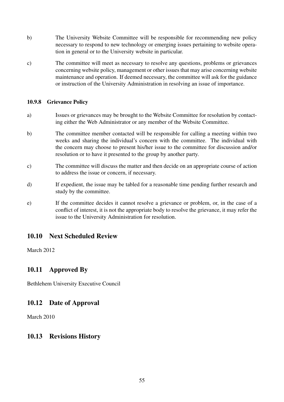- b) The University Website Committee will be responsible for recommending new policy necessary to respond to new technology or emerging issues pertaining to website operation in general or to the University website in particular.
- c) The committee will meet as necessary to resolve any questions, problems or grievances concerning website policy, management or other issues that may arise concerning website maintenance and operation. If deemed necessary, the committee will ask for the guidance or instruction of the University Administration in resolving an issue of importance.

#### 10.9.8 Grievance Policy

- a) Issues or grievances may be brought to the Website Committee for resolution by contacting either the Web Administrator or any member of the Website Committee.
- b) The committee member contacted will be responsible for calling a meeting within two weeks and sharing the individual's concern with the committee. The individual with the concern may choose to present his/her issue to the committee for discussion and/or resolution or to have it presented to the group by another party.
- c) The committee will discuss the matter and then decide on an appropriate course of action to address the issue or concern, if necessary.
- d) If expedient, the issue may be tabled for a reasonable time pending further research and study by the committee.
- e) If the committee decides it cannot resolve a grievance or problem, or, in the case of a conflict of interest, it is not the appropriate body to resolve the grievance, it may refer the issue to the University Administration for resolution.

# 10.10 Next Scheduled Review

March 2012

# 10.11 Approved By

Bethlehem University Executive Council

### 10.12 Date of Approval

March 2010

### 10.13 Revisions History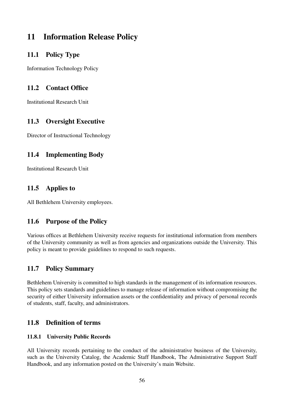# 11 Information Release Policy

# 11.1 Policy Type

Information Technology Policy

# 11.2 Contact Office

Institutional Research Unit

# 11.3 Oversight Executive

Director of Instructional Technology

# 11.4 Implementing Body

Institutional Research Unit

# 11.5 Applies to

All Bethlehem University employees.

# 11.6 Purpose of the Policy

Various offices at Bethlehem University receive requests for institutional information from members of the University community as well as from agencies and organizations outside the University. This policy is meant to provide guidelines to respond to such requests.

# 11.7 Policy Summary

Bethlehem University is committed to high standards in the management of its information resources. This policy sets standards and guidelines to manage release of information without compromising the security of either University information assets or the confidentiality and privacy of personal records of students, staff, faculty, and administrators.

# 11.8 Definition of terms

### 11.8.1 University Public Records

All University records pertaining to the conduct of the administrative business of the University, such as the University Catalog, the Academic Staff Handbook, The Administrative Support Staff Handbook, and any information posted on the University's main Website.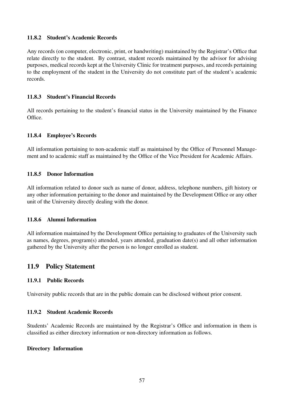#### 11.8.2 Student's Academic Records

Any records (on computer, electronic, print, or handwriting) maintained by the Registrar's Office that relate directly to the student. By contrast, student records maintained by the advisor for advising purposes, medical records kept at the University Clinic for treatment purposes, and records pertaining to the employment of the student in the University do not constitute part of the student's academic records.

#### 11.8.3 Student's Financial Records

All records pertaining to the student's financial status in the University maintained by the Finance Office.

#### 11.8.4 Employee's Records

All information pertaining to non-academic staff as maintained by the Office of Personnel Management and to academic staff as maintained by the Office of the Vice President for Academic Affairs.

#### 11.8.5 Donor Information

All information related to donor such as name of donor, address, telephone numbers, gift history or any other information pertaining to the donor and maintained by the Development Office or any other unit of the University directly dealing with the donor.

#### 11.8.6 Alumni Information

All information maintained by the Development Office pertaining to graduates of the University such as names, degrees, program(s) attended, years attended, graduation date(s) and all other information gathered by the University after the person is no longer enrolled as student.

# 11.9 Policy Statement

#### 11.9.1 Public Records

University public records that are in the public domain can be disclosed without prior consent.

#### 11.9.2 Student Academic Records

Students' Academic Records are maintained by the Registrar's Office and information in them is classified as either directory information or non-directory information as follows.

#### Directory Information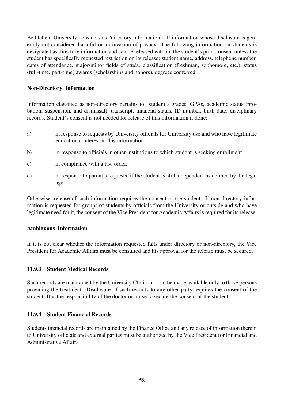Bethlehem University considers as "directory information" all information whose disclosure is generally not considered harmful or an invasion of privacy. The following information on students is designated as directory information and can be released without the student's prior consent unless the student has specifically requested restriction on its release: student name, address, telephone number, dates of attendance, major/minor fields of study, classification (freshman, sophomore, etc.), status (full-time, part-time) awards (scholarships and honors), degrees conferred.

#### Non-Directory Information

Information classified as non-directory pertains to: student's grades, GPAs, academic status (probation, suspension, and dismissal), transcript, financial status, ID number, birth date, disciplinary records. Student's consent is not needed for release of this information if done:

- a) in response to requests by University officials for University use and who have legitimate educational interest in this information,
- b) in response to officials in other institutions to which student is seeking enrollment,
- c) in compliance with a law order,
- d) in response to parent's requests, if the student is still a dependent as defined by the legal age.

Otherwise, release of such information requires the consent of the student. If non-directory information is requested for groups of students by officials from the University or outside and who have legitimate need for it, the consent of the Vice President for Academic Affairs is required for its release.

#### Ambiguous Information

If it is not clear whether the information requested falls under directory or non-directory, the Vice President for Academic Affairs must be consulted and his approval for the release must be secured.

#### 11.9.3 Student Medical Records

Such records are maintained by the University Clinic and can be made available only to those persons providing the treatment. Disclosure of such records to any other party requires the consent of the student. It is the responsibility of the doctor or nurse to secure the consent of the student.

#### 11.9.4 Student Financial Records

Students financial records are maintained by the Finance Office and any release of information therein to University officials and external parties must be authorized by the Vice President for Financial and Administrative Affairs.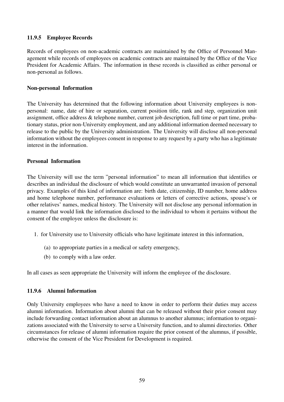#### 11.9.5 Employee Records

Records of employees on non-academic contracts are maintained by the Office of Personnel Management while records of employees on academic contracts are maintained by the Office of the Vice President for Academic Affairs. The information in these records is classified as either personal or non-personal as follows.

#### Non-personal Information

The University has determined that the following information about University employees is nonpersonal: name, date of hire or separation, current position title, rank and step, organization unit assignment, office address & telephone number, current job description, full time or part time, probationary status, prior non-University employment, and any additional information deemed necessary to release to the public by the University administration. The University will disclose all non-personal information without the employees consent in response to any request by a party who has a legitimate interest in the information.

#### Personal Information

The University will use the term "personal information" to mean all information that identifies or describes an individual the disclosure of which would constitute an unwarranted invasion of personal privacy. Examples of this kind of information are: birth date, citizenship, ID number, home address and home telephone number, performance evaluations or letters of corrective actions, spouse's or other relatives' names, medical history. The University will not disclose any personal information in a manner that would link the information disclosed to the individual to whom it pertains without the consent of the employee unless the disclosure is:

- 1. for University use to University officials who have legitimate interest in this information,
	- (a) to appropriate parties in a medical or safety emergency,
	- (b) to comply with a law order.

In all cases as seen appropriate the University will inform the employee of the disclosure.

#### 11.9.6 Alumni Information

Only University employees who have a need to know in order to perform their duties may access alumni information. Information about alumni that can be released without their prior consent may include forwarding contact information about an alumnus to another alumnus; information to organizations associated with the University to serve a University function, and to alumni directories. Other circumstances for release of alumni information require the prior consent of the alumnus, if possible, otherwise the consent of the Vice President for Development is required.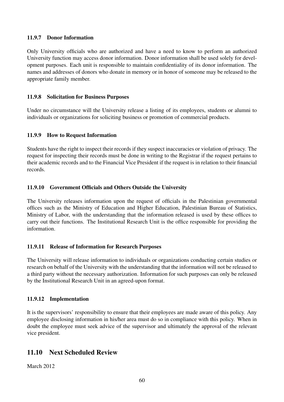#### 11.9.7 Donor Information

Only University officials who are authorized and have a need to know to perform an authorized University function may access donor information. Donor information shall be used solely for development purposes. Each unit is responsible to maintain confidentiality of its donor information. The names and addresses of donors who donate in memory or in honor of someone may be released to the appropriate family member.

#### 11.9.8 Solicitation for Business Purposes

Under no circumstance will the University release a listing of its employees, students or alumni to individuals or organizations for soliciting business or promotion of commercial products.

#### 11.9.9 How to Request Information

Students have the right to inspect their records if they suspect inaccuracies or violation of privacy. The request for inspecting their records must be done in writing to the Registrar if the request pertains to their academic records and to the Financial Vice President if the request is in relation to their financial records.

### 11.9.10 Government Officials and Others Outside the University

The University releases information upon the request of officials in the Palestinian governmental offices such as the Ministry of Education and Higher Education, Palestinian Bureau of Statistics, Ministry of Labor, with the understanding that the information released is used by these offices to carry out their functions. The Institutional Research Unit is the office responsible for providing the information.

#### 11.9.11 Release of Information for Research Purposes

The University will release information to individuals or organizations conducting certain studies or research on behalf of the University with the understanding that the information will not be released to a third party without the necessary authorization. Information for such purposes can only be released by the Institutional Research Unit in an agreed-upon format.

#### 11.9.12 Implementation

It is the supervisors' responsibility to ensure that their employees are made aware of this policy. Any employee disclosing information in his/her area must do so in compliance with this policy. When in doubt the employee must seek advice of the supervisor and ultimately the approval of the relevant vice president.

# 11.10 Next Scheduled Review

March 2012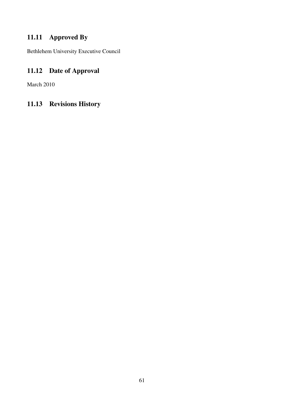# 11.11 Approved By

Bethlehem University Executive Council

# 11.12 Date of Approval

March 2010

# 11.13 Revisions History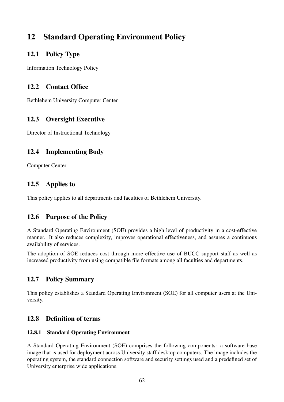# 12 Standard Operating Environment Policy

# 12.1 Policy Type

Information Technology Policy

# 12.2 Contact Office

Bethlehem University Computer Center

# 12.3 Oversight Executive

Director of Instructional Technology

# 12.4 Implementing Body

Computer Center

# 12.5 Applies to

This policy applies to all departments and faculties of Bethlehem University.

# 12.6 Purpose of the Policy

A Standard Operating Environment (SOE) provides a high level of productivity in a cost-effective manner. It also reduces complexity, improves operational effectiveness, and assures a continuous availability of services.

The adoption of SOE reduces cost through more effective use of BUCC support staff as well as increased productivity from using compatible file formats among all faculties and departments.

# 12.7 Policy Summary

This policy establishes a Standard Operating Environment (SOE) for all computer users at the University.

# 12.8 Definition of terms

### 12.8.1 Standard Operating Environment

A Standard Operating Environment (SOE) comprises the following components: a software base image that is used for deployment across University staff desktop computers. The image includes the operating system, the standard connection software and security settings used and a predefined set of University enterprise wide applications.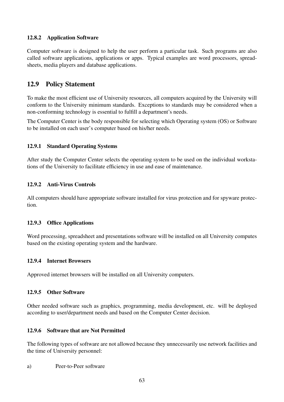### 12.8.2 Application Software

Computer software is designed to help the user perform a particular task. Such programs are also called software applications, applications or apps. Typical examples are word processors, spreadsheets, media players and database applications.

# 12.9 Policy Statement

To make the most efficient use of University resources, all computers acquired by the University will conform to the University minimum standards. Exceptions to standards may be considered when a non-conforming technology is essential to fulfill a department's needs.

The Computer Center is the body responsible for selecting which Operating system (OS) or Software to be installed on each user's computer based on his/her needs.

### 12.9.1 Standard Operating Systems

After study the Computer Center selects the operating system to be used on the individual workstations of the University to facilitate efficiency in use and ease of maintenance.

### 12.9.2 Anti-Virus Controls

All computers should have appropriate software installed for virus protection and for spyware protection.

#### 12.9.3 Office Applications

Word processing, spreadsheet and presentations software will be installed on all University computes based on the existing operating system and the hardware.

#### 12.9.4 Internet Browsers

Approved internet browsers will be installed on all University computers.

#### 12.9.5 Other Software

Other needed software such as graphics, programming, media development, etc. will be deployed according to user/department needs and based on the Computer Center decision.

#### 12.9.6 Software that are Not Permitted

The following types of software are not allowed because they unnecessarily use network facilities and the time of University personnel:

a) Peer-to-Peer software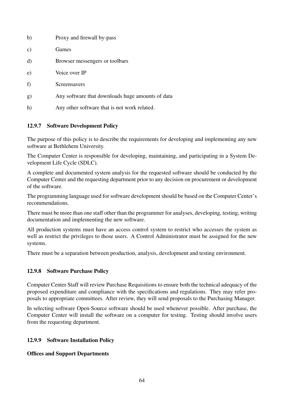| b) | Proxy and firewall by-pass                       |
|----|--------------------------------------------------|
| c) | Games                                            |
| d) | Browser messengers or toolbars                   |
| e) | Voice over IP                                    |
| f) | Screensavers                                     |
| g) | Any software that downloads huge amounts of data |
| h) | Any other software that is not work related.     |

### 12.9.7 Software Development Policy

The purpose of this policy is to describe the requirements for developing and implementing any new software at Bethlehem University.

The Computer Center is responsible for developing, maintaining, and participating in a System Development Life Cycle (SDLC).

A complete and documented system analysis for the requested software should be conducted by the Computer Center and the requesting department prior to any decision on procurement or development of the software.

The programming language used for software development should be based on the Computer Center's recommendations.

There must be more than one staff other than the programmer for analyses, developing, testing, writing documentation and implementing the new software.

All production systems must have an access control system to restrict who accesses the system as well as restrict the privileges to those users. A Control Administrator must be assigned for the new systems.

There must be a separation between production, analysis, development and testing environment.

#### 12.9.8 Software Purchase Policy

Computer Center Staff will review Purchase Requisitions to ensure both the technical adequacy of the proposed expenditure and compliance with the specifications and regulations. They may refer proposals to appropriate committees. After review, they will send proposals to the Purchasing Manager.

In selecting software Open-Source software should be used whenever possible. After purchase, the Computer Center will install the software on a computer for testing. Testing should involve users from the requesting department.

#### 12.9.9 Software Installation Policy

#### Offices and Support Departments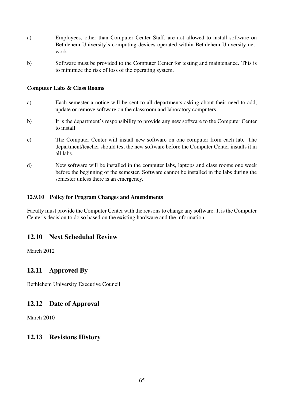- a) Employees, other than Computer Center Staff, are not allowed to install software on Bethlehem University's computing devices operated within Bethlehem University network.
- b) Software must be provided to the Computer Center for testing and maintenance. This is to minimize the risk of loss of the operating system.

#### Computer Labs & Class Rooms

- a) Each semester a notice will be sent to all departments asking about their need to add, update or remove software on the classroom and laboratory computers.
- b) It is the department's responsibility to provide any new software to the Computer Center to install.
- c) The Computer Center will install new software on one computer from each lab. The department/teacher should test the new software before the Computer Center installs it in all labs.
- d) New software will be installed in the computer labs, laptops and class rooms one week before the beginning of the semester. Software cannot be installed in the labs during the semester unless there is an emergency.

#### 12.9.10 Policy for Program Changes and Amendments

Faculty must provide the Computer Center with the reasons to change any software. It is the Computer Center's decision to do so based on the existing hardware and the information.

### 12.10 Next Scheduled Review

March 2012

### 12.11 Approved By

Bethlehem University Executive Council

### 12.12 Date of Approval

March 2010

### 12.13 Revisions History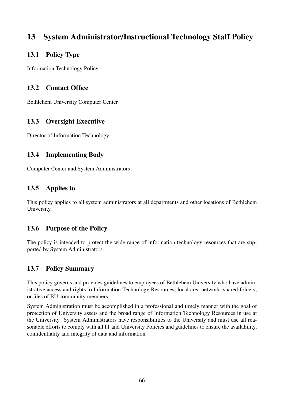# 13 System Administrator/Instructional Technology Staff Policy

# 13.1 Policy Type

Information Technology Policy

# 13.2 Contact Office

Bethlehem University Computer Center

# 13.3 Oversight Executive

Director of Information Technology

# 13.4 Implementing Body

Computer Center and System Administrators

# 13.5 Applies to

This policy applies to all system administrators at all departments and other locations of Bethlehem University.

# 13.6 Purpose of the Policy

The policy is intended to protect the wide range of information technology resources that are supported by System Administrators.

# 13.7 Policy Summary

This policy governs and provides guidelines to employees of Bethlehem University who have administrative access and rights to Information Technology Resources, local area network, shared folders, or files of BU community members.

System Administration must be accomplished in a professional and timely manner with the goal of protection of University assets and the broad range of Information Technology Resources in use at the University. System Administrators have responsibilities to the University and must use all reasonable efforts to comply with all IT and University Policies and guidelines to ensure the availability, confidentiality and integrity of data and information.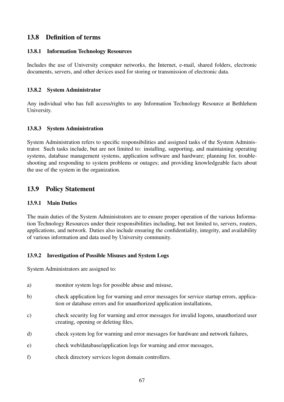# 13.8 Definition of terms

#### 13.8.1 Information Technology Resources

Includes the use of University computer networks, the Internet, e-mail, shared folders, electronic documents, servers, and other devices used for storing or transmission of electronic data.

#### 13.8.2 System Administrator

Any individual who has full access/rights to any Information Technology Resource at Bethlehem University.

#### 13.8.3 System Administration

System Administration refers to specific responsibilities and assigned tasks of the System Administrator. Such tasks include, but are not limited to: installing, supporting, and maintaining operating systems, database management systems, application software and hardware; planning for, troubleshooting and responding to system problems or outages; and providing knowledgeable facts about the use of the system in the organization.

### 13.9 Policy Statement

#### 13.9.1 Main Duties

The main duties of the System Administrators are to ensure proper operation of the various Information Technology Resources under their responsibilities including, but not limited to, servers, routers, applications, and network. Duties also include ensuring the confidentiality, integrity, and availability of various information and data used by University community.

#### 13.9.2 Investigation of Possible Misuses and System Logs

System Administrators are assigned to:

- a) monitor system logs for possible abuse and misuse,
- b) check application log for warning and error messages for service startup errors, application or database errors and for unauthorized application installations,
- c) check security log for warning and error messages for invalid logons, unauthorized user creating, opening or deleting files,
- d) check system log for warning and error messages for hardware and network failures,
- e) check web/database/application logs for warning and error messages,
- f) check directory services logon domain controllers.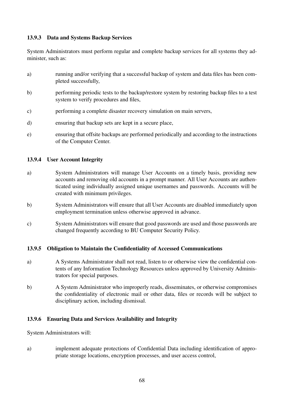#### 13.9.3 Data and Systems Backup Services

System Administrators must perform regular and complete backup services for all systems they administer, such as:

- a) running and/or verifying that a successful backup of system and data files has been completed successfully,
- b) performing periodic tests to the backup/restore system by restoring backup files to a test system to verify procedures and files,
- c) performing a complete disaster recovery simulation on main servers,
- d) ensuring that backup sets are kept in a secure place,
- e) ensuring that offsite backups are performed periodically and according to the instructions of the Computer Center.

#### 13.9.4 User Account Integrity

- a) System Administrators will manage User Accounts on a timely basis, providing new accounts and removing old accounts in a prompt manner. All User Accounts are authenticated using individually assigned unique usernames and passwords. Accounts will be created with minimum privileges.
- b) System Administrators will ensure that all User Accounts are disabled immediately upon employment termination unless otherwise approved in advance.
- c) System Administrators will ensure that good passwords are used and those passwords are changed frequently according to BU Computer Security Policy.

#### 13.9.5 Obligation to Maintain the Confidentiality of Accessed Communications

- a) A Systems Administrator shall not read, listen to or otherwise view the confidential contents of any Information Technology Resources unless approved by University Administrators for special purposes.
- b) A System Administrator who improperly reads, disseminates, or otherwise compromises the confidentiality of electronic mail or other data, files or records will be subject to disciplinary action, including dismissal.

#### 13.9.6 Ensuring Data and Services Availability and Integrity

System Administrators will:

a) implement adequate protections of Confidential Data including identification of appropriate storage locations, encryption processes, and user access control,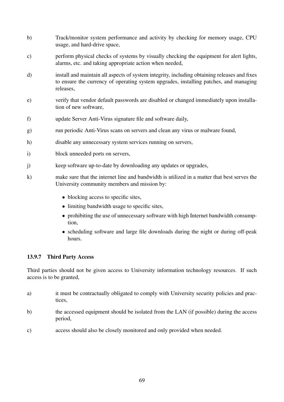- b) Track/monitor system performance and activity by checking for memory usage, CPU usage, and hard-drive space,
- c) perform physical checks of systems by visually checking the equipment for alert lights, alarms, etc. and taking appropriate action when needed,
- d) install and maintain all aspects of system integrity, including obtaining releases and fixes to ensure the currency of operating system upgrades, installing patches, and managing releases,
- e) verify that vendor default passwords are disabled or changed immediately upon installation of new software,
- f) update Server Anti-Virus signature file and software daily,
- g) run periodic Anti-Virus scans on servers and clean any virus or malware found,
- h) disable any unnecessary system services running on servers,
- i) block unneeded ports on servers,
- j) keep software up-to-date by downloading any updates or upgrades,
- k) make sure that the internet line and bandwidth is utilized in a matter that best serves the University community members and mission by:
	- blocking access to specific sites,
	- limiting bandwidth usage to specific sites,
	- prohibiting the use of unnecessary software with high Internet bandwidth consumption,
	- scheduling software and large file downloads during the night or during off-peak hours.

#### 13.9.7 Third Party Access

Third parties should not be given access to University information technology resources. If such access is to be granted,

- a) it must be contractually obligated to comply with University security policies and practices,
- b) the accessed equipment should be isolated from the LAN (if possible) during the access period,
- c) access should also be closely monitored and only provided when needed.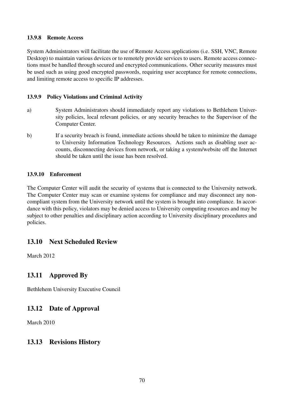### 13.9.8 Remote Access

System Administrators will facilitate the use of Remote Access applications (i.e. SSH, VNC, Remote Desktop) to maintain various devices or to remotely provide services to users. Remote access connections must be handled through secured and encrypted communications. Other security measures must be used such as using good encrypted passwords, requiring user acceptance for remote connections, and limiting remote access to specific IP addresses.

### 13.9.9 Policy Violations and Criminal Activity

- a) System Administrators should immediately report any violations to Bethlehem University policies, local relevant policies, or any security breaches to the Supervisor of the Computer Center.
- b) If a security breach is found, immediate actions should be taken to minimize the damage to University Information Technology Resources. Actions such as disabling user accounts, disconnecting devices from network, or taking a system/website off the Internet should be taken until the issue has been resolved.

### 13.9.10 Enforcement

The Computer Center will audit the security of systems that is connected to the University network. The Computer Center may scan or examine systems for compliance and may disconnect any noncompliant system from the University network until the system is brought into compliance. In accordance with this policy, violators may be denied access to University computing resources and may be subject to other penalties and disciplinary action according to University disciplinary procedures and policies.

### 13.10 Next Scheduled Review

March 2012

### 13.11 Approved By

Bethlehem University Executive Council

### 13.12 Date of Approval

March 2010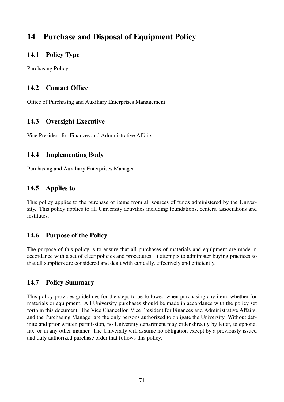# 14 Purchase and Disposal of Equipment Policy

## 14.1 Policy Type

Purchasing Policy

## 14.2 Contact Office

Office of Purchasing and Auxiliary Enterprises Management

# 14.3 Oversight Executive

Vice President for Finances and Administrative Affairs

# 14.4 Implementing Body

Purchasing and Auxiliary Enterprises Manager

# 14.5 Applies to

This policy applies to the purchase of items from all sources of funds administered by the University. This policy applies to all University activities including foundations, centers, associations and institutes.

# 14.6 Purpose of the Policy

The purpose of this policy is to ensure that all purchases of materials and equipment are made in accordance with a set of clear policies and procedures. It attempts to administer buying practices so that all suppliers are considered and dealt with ethically, effectively and efficiently.

# 14.7 Policy Summary

This policy provides guidelines for the steps to be followed when purchasing any item, whether for materials or equipment. All University purchases should be made in accordance with the policy set forth in this document. The Vice Chancellor, Vice President for Finances and Administrative Affairs, and the Purchasing Manager are the only persons authorized to obligate the University. Without definite and prior written permission, no University department may order directly by letter, telephone, fax, or in any other manner. The University will assume no obligation except by a previously issued and duly authorized purchase order that follows this policy.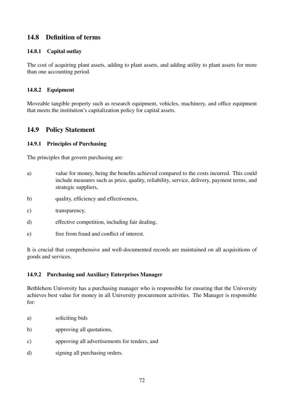## 14.8 Definition of terms

### 14.8.1 Capital outlay

The cost of acquiring plant assets, adding to plant assets, and adding utility to plant assets for more than one accounting period.

### 14.8.2 Equipment

Moveable tangible property such as research equipment, vehicles, machinery, and office equipment that meets the institution's capitalization policy for capital assets.

### 14.9 Policy Statement

### 14.9.1 Principles of Purchasing

The principles that govern purchasing are:

- a) value for money, being the benefits achieved compared to the costs incurred. This could include measures such as price, quality, reliability, service, delivery, payment terms, and strategic suppliers,
- b) quality, efficiency and effectiveness,
- c) transparency,
- d) effective competition, including fair dealing,
- e) free from fraud and conflict of interest.

It is crucial that comprehensive and well-documented records are maintained on all acquisitions of goods and services.

### 14.9.2 Purchasing and Auxiliary Enterprises Manager

Bethlehem University has a purchasing manager who is responsible for ensuring that the University achieves best value for money in all University procurement activities. The Manager is responsible for:

- a) soliciting bids
- b) approving all quotations,
- c) approving all advertisements for tenders, and
- d) signing all purchasing orders.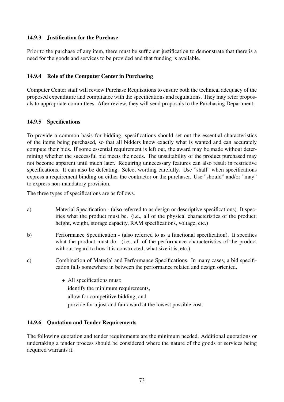### 14.9.3 Justification for the Purchase

Prior to the purchase of any item, there must be sufficient justification to demonstrate that there is a need for the goods and services to be provided and that funding is available.

### 14.9.4 Role of the Computer Center in Purchasing

Computer Center staff will review Purchase Requisitions to ensure both the technical adequacy of the proposed expenditure and compliance with the specifications and regulations. They may refer proposals to appropriate committees. After review, they will send proposals to the Purchasing Department.

### 14.9.5 Specifications

To provide a common basis for bidding, specifications should set out the essential characteristics of the items being purchased, so that all bidders know exactly what is wanted and can accurately compute their bids. If some essential requirement is left out, the award may be made without determining whether the successful bid meets the needs. The unsuitability of the product purchased may not become apparent until much later. Requiring unnecessary features can also result in restrictive specifications. It can also be defeating. Select wording carefully. Use "shall" when specifications express a requirement binding on either the contractor or the purchaser. Use "should" and/or "may" to express non-mandatory provision.

The three types of specifications are as follows.

- a) Material Specification (also referred to as design or descriptive specifications). It specifies what the product must be. (i.e., all of the physical characteristics of the product; height, weight, storage capacity, RAM specifications, voltage, etc.)
- b) Performance Specification (also referred to as a functional specification). It specifies what the product must do. (i.e., all of the performance characteristics of the product without regard to how it is constructed, what size it is, etc.)
- c) Combination of Material and Performance Specifications. In many cases, a bid specification falls somewhere in between the performance related and design oriented.
	- All specifications must: identify the minimum requirements, allow for competitive bidding, and provide for a just and fair award at the lowest possible cost.

### 14.9.6 Quotation and Tender Requirements

The following quotation and tender requirements are the minimum needed. Additional quotations or undertaking a tender process should be considered where the nature of the goods or services being acquired warrants it.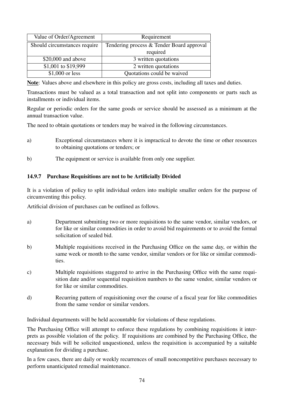| Value of Order/Agreement     | Requirement                               |
|------------------------------|-------------------------------------------|
| Should circumstances require | Tendering process & Tender Board approval |
|                              | required                                  |
| $$20,000$ and above          | 3 written quotations                      |
| \$1,001 to \$19,999          | 2 written quotations                      |
| $$1,000$ or less             | Quotations could be waived                |

Note: Values above and elsewhere in this policy are gross costs, including all taxes and duties.

Transactions must be valued as a total transaction and not split into components or parts such as installments or individual items.

Regular or periodic orders for the same goods or service should be assessed as a minimum at the annual transaction value.

The need to obtain quotations or tenders may be waived in the following circumstances.

- a) Exceptional circumstances where it is impractical to devote the time or other resources to obtaining quotations or tenders; or
- b) The equipment or service is available from only one supplier.

#### 14.9.7 Purchase Requisitions are not to be Artificially Divided

It is a violation of policy to split individual orders into multiple smaller orders for the purpose of circumventing this policy.

Artificial division of purchases can be outlined as follows.

- a) Department submitting two or more requisitions to the same vendor, similar vendors, or for like or similar commodities in order to avoid bid requirements or to avoid the formal solicitation of sealed bid.
- b) Multiple requisitions received in the Purchasing Office on the same day, or within the same week or month to the same vendor, similar vendors or for like or similar commodities.
- c) Multiple requisitions staggered to arrive in the Purchasing Office with the same requisition date and/or sequential requisition numbers to the same vendor, similar vendors or for like or similar commodities.
- d) Recurring pattern of requisitioning over the course of a fiscal year for like commodities from the same vendor or similar vendors.

Individual departments will be held accountable for violations of these regulations.

The Purchasing Office will attempt to enforce these regulations by combining requisitions it interprets as possible violation of the policy. If requisitions are combined by the Purchasing Office, the necessary bids will be solicited unquestioned, unless the requisition is accompanied by a suitable explanation for dividing a purchase.

In a few cases, there are daily or weekly recurrences of small noncompetitive purchases necessary to perform unanticipated remedial maintenance.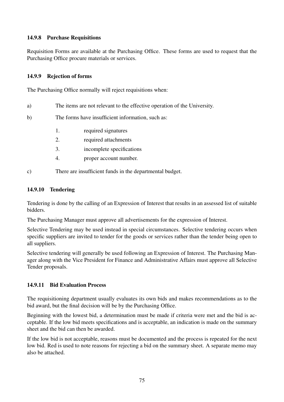### 14.9.8 Purchase Requisitions

Requisition Forms are available at the Purchasing Office. These forms are used to request that the Purchasing Office procure materials or services.

### 14.9.9 Rejection of forms

The Purchasing Office normally will reject requisitions when:

a) The items are not relevant to the effective operation of the University.

b) The forms have insufficient information, such as:

- 1. required signatures
- 2. required attachments
- 3. incomplete specifications
- 4. proper account number.

c) There are insufficient funds in the departmental budget.

### 14.9.10 Tendering

Tendering is done by the calling of an Expression of Interest that results in an assessed list of suitable bidders.

The Purchasing Manager must approve all advertisements for the expression of Interest.

Selective Tendering may be used instead in special circumstances. Selective tendering occurs when specific suppliers are invited to tender for the goods or services rather than the tender being open to all suppliers.

Selective tendering will generally be used following an Expression of Interest. The Purchasing Manager along with the Vice President for Finance and Administrative Affairs must approve all Selective Tender proposals.

### 14.9.11 Bid Evaluation Process

The requisitioning department usually evaluates its own bids and makes recommendations as to the bid award, but the final decision will be by the Purchasing Office.

Beginning with the lowest bid, a determination must be made if criteria were met and the bid is acceptable. If the low bid meets specifications and is acceptable, an indication is made on the summary sheet and the bid can then be awarded.

If the low bid is not acceptable, reasons must be documented and the process is repeated for the next low bid. Red is used to note reasons for rejecting a bid on the summary sheet. A separate memo may also be attached.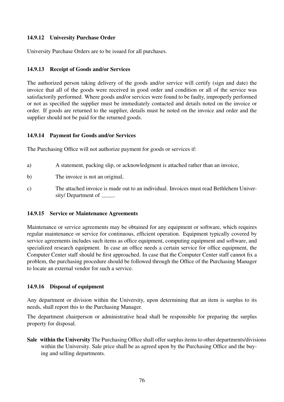### 14.9.12 University Purchase Order

University Purchase Orders are to be issued for all purchases.

#### 14.9.13 Receipt of Goods and/or Services

The authorized person taking delivery of the goods and/or service will certify (sign and date) the invoice that all of the goods were received in good order and condition or all of the service was satisfactorily performed. Where goods and/or services were found to be faulty, improperly performed or not as specified the supplier must be immediately contacted and details noted on the invoice or order. If goods are returned to the supplier, details must be noted on the invoice and order and the supplier should not be paid for the returned goods.

#### 14.9.14 Payment for Goods and/or Services

The Purchasing Office will not authorize payment for goods or services if:

- a) A statement, packing slip, or acknowledgment is attached rather than an invoice,
- b) The invoice is not an original,
- c) The attached invoice is made out to an individual. Invoices must read Bethlehem University/ Department of \_\_\_\_\_\_.

#### 14.9.15 Service or Maintenance Agreements

Maintenance or service agreements may be obtained for any equipment or software, which requires regular maintenance or service for continuous, efficient operation. Equipment typically covered by service agreements includes such items as office equipment, computing equipment and software, and specialized research equipment. In case an office needs a certain service for office equipment, the Computer Center staff should be first approached. In case that the Computer Center staff cannot fix a problem, the purchasing procedure should be followed through the Office of the Purchasing Manager to locate an external vendor for such a service.

#### 14.9.16 Disposal of equipment

Any department or division within the University, upon determining that an item is surplus to its needs, shall report this to the Purchasing Manager.

The department chairperson or administrative head shall be responsible for preparing the surplus property for disposal.

Sale within the University The Purchasing Office shall offer surplus items to other departments/divisions within the University. Sale price shall be as agreed upon by the Purchasing Office and the buying and selling departments.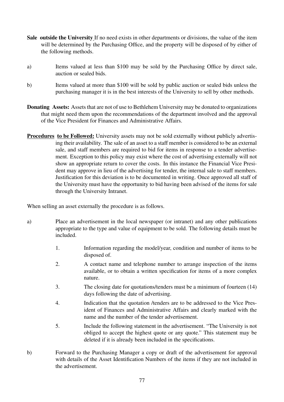- Sale outside the University If no need exists in other departments or divisions, the value of the item will be determined by the Purchasing Office, and the property will be disposed of by either of the following methods.
- a) Items valued at less than \$100 may be sold by the Purchasing Office by direct sale, auction or sealed bids.
- b) Items valued at more than \$100 will be sold by public auction or sealed bids unless the purchasing manager it is in the best interests of the University to sell by other methods.
- Donating Assets: Assets that are not of use to Bethlehem University may be donated to organizations that might need them upon the recommendations of the department involved and the approval of the Vice President for Finances and Administrative Affairs.
- Procedures to be Followed: University assets may not be sold externally without publicly advertising their availability. The sale of an asset to a staff member is considered to be an external sale, and staff members are required to bid for items in response to a tender advertisement. Exception to this policy may exist where the cost of advertising externally will not show an appropriate return to cover the costs. In this instance the Financial Vice President may approve in lieu of the advertising for tender, the internal sale to staff members. Justification for this deviation is to be documented in writing. Once approved all staff of the University must have the opportunity to bid having been advised of the items for sale through the University Intranet.

When selling an asset externally the procedure is as follows.

- a) Place an advertisement in the local newspaper (or intranet) and any other publications appropriate to the type and value of equipment to be sold. The following details must be included.
	- 1. Information regarding the model/year, condition and number of items to be disposed of.
	- 2. A contact name and telephone number to arrange inspection of the items available, or to obtain a written specification for items of a more complex nature.
	- 3. The closing date for quotations/tenders must be a minimum of fourteen (14) days following the date of advertising.
	- 4. Indication that the quotation /tenders are to be addressed to the Vice President of Finances and Administrative Affairs and clearly marked with the name and the number of the tender advertisement.
	- 5. Include the following statement in the advertisement. "The University is not obliged to accept the highest quote or any quote." This statement may be deleted if it is already been included in the specifications.
- b) Forward to the Purchasing Manager a copy or draft of the advertisement for approval with details of the Asset Identification Numbers of the items if they are not included in the advertisement.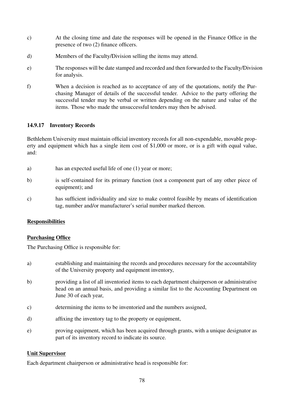- c) At the closing time and date the responses will be opened in the Finance Office in the presence of two (2) finance officers.
- d) Members of the Faculty/Division selling the items may attend.
- e) The responses will be date stamped and recorded and then forwarded to the Faculty/Division for analysis.
- f) When a decision is reached as to acceptance of any of the quotations, notify the Purchasing Manager of details of the successful tender. Advice to the party offering the successful tender may be verbal or written depending on the nature and value of the items. Those who made the unsuccessful tenders may then be advised.

### 14.9.17 Inventory Records

Bethlehem University must maintain official inventory records for all non-expendable, movable property and equipment which has a single item cost of \$1,000 or more, or is a gift with equal value, and:

- a) has an expected useful life of one (1) year or more;
- b) is self-contained for its primary function (not a component part of any other piece of equipment); and
- c) has sufficient individuality and size to make control feasible by means of identification tag, number and/or manufacturer's serial number marked thereon.

#### **Responsibilities**

### Purchasing Office

The Purchasing Office is responsible for:

- a) establishing and maintaining the records and procedures necessary for the accountability of the University property and equipment inventory,
- b) providing a list of all inventoried items to each department chairperson or administrative head on an annual basis, and providing a similar list to the Accounting Department on June 30 of each year,
- c) determining the items to be inventoried and the numbers assigned,
- d) affixing the inventory tag to the property or equipment,
- e) proving equipment, which has been acquired through grants, with a unique designator as part of its inventory record to indicate its source.

#### Unit Supervisor

Each department chairperson or administrative head is responsible for: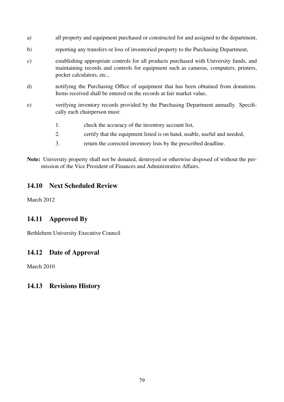- a) all property and equipment purchased or constructed for and assigned to the department,
- b) reporting any transfers or loss of inventoried property to the Purchasing Department,
- c) establishing appropriate controls for all products purchased with University funds, and maintaining records and controls for equipment such as cameras, computers, printers, pocket calculators, etc.,
- d) notifying the Purchasing Office of equipment that has been obtained from donations. Items received shall be entered on the records at fair market value,
- e) verifying inventory records provided by the Purchasing Department annually. Specifically each chairperson must:
	- 1. check the accuracy of the inventory account list,
	- 2. certify that the equipment listed is on hand, usable, useful and needed,
	- 3. return the corrected inventory lists by the prescribed deadline.
- Note: University property shall not be donated, destroyed or otherwise disposed of without the permission of the Vice President of Finances and Administrative Affairs.

### 14.10 Next Scheduled Review

March 2012

### 14.11 Approved By

Bethlehem University Executive Council

### 14.12 Date of Approval

March 2010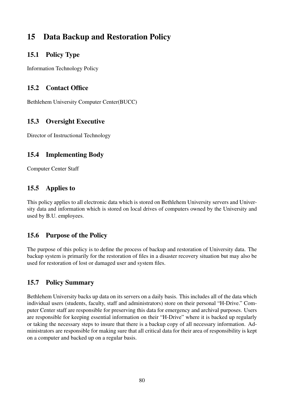# 15 Data Backup and Restoration Policy

### 15.1 Policy Type

Information Technology Policy

## 15.2 Contact Office

Bethlehem University Computer Center(BUCC)

## 15.3 Oversight Executive

Director of Instructional Technology

# 15.4 Implementing Body

Computer Center Staff

# 15.5 Applies to

This policy applies to all electronic data which is stored on Bethlehem University servers and University data and information which is stored on local drives of computers owned by the University and used by B.U. employees.

# 15.6 Purpose of the Policy

The purpose of this policy is to define the process of backup and restoration of University data. The backup system is primarily for the restoration of files in a disaster recovery situation but may also be used for restoration of lost or damaged user and system files.

# 15.7 Policy Summary

Bethlehem University backs up data on its servers on a daily basis. This includes all of the data which individual users (students, faculty, staff and administrators) store on their personal "H-Drive." Computer Center staff are responsible for preserving this data for emergency and archival purposes. Users are responsible for keeping essential information on their "H-Drive" where it is backed up regularly or taking the necessary steps to insure that there is a backup copy of all necessary information. Administrators are responsible for making sure that all critical data for their area of responsibility is kept on a computer and backed up on a regular basis.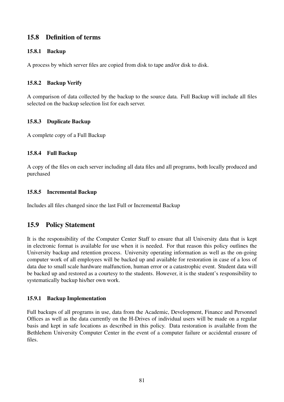### 15.8 Definition of terms

### 15.8.1 Backup

A process by which server files are copied from disk to tape and/or disk to disk.

#### 15.8.2 Backup Verify

A comparison of data collected by the backup to the source data. Full Backup will include all files selected on the backup selection list for each server.

#### 15.8.3 Duplicate Backup

A complete copy of a Full Backup

#### 15.8.4 Full Backup

A copy of the files on each server including all data files and all programs, both locally produced and purchased

#### 15.8.5 Incremental Backup

Includes all files changed since the last Full or Incremental Backup

### 15.9 Policy Statement

It is the responsibility of the Computer Center Staff to ensure that all University data that is kept in electronic format is available for use when it is needed. For that reason this policy outlines the University backup and retention process. University operating information as well as the on-going computer work of all employees will be backed up and available for restoration in case of a loss of data due to small scale hardware malfunction, human error or a catastrophic event. Student data will be backed up and restored as a courtesy to the students. However, it is the student's responsibility to systematically backup his/her own work.

### 15.9.1 Backup Implementation

Full backups of all programs in use, data from the Academic, Development, Finance and Personnel Offices as well as the data currently on the H-Drives of individual users will be made on a regular basis and kept in safe locations as described in this policy. Data restoration is available from the Bethlehem University Computer Center in the event of a computer failure or accidental erasure of files.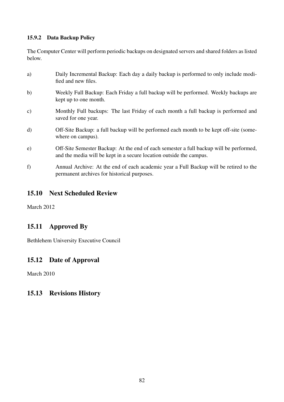### 15.9.2 Data Backup Policy

The Computer Center will perform periodic backups on designated servers and shared folders as listed below.

a) Daily Incremental Backup: Each day a daily backup is performed to only include modified and new files. b) Weekly Full Backup: Each Friday a full backup will be performed. Weekly backups are kept up to one month. c) Monthly Full backups: The last Friday of each month a full backup is performed and saved for one year. d) Off-Site Backup: a full backup will be performed each month to be kept off-site (somewhere on campus). e) Off-Site Semester Backup: At the end of each semester a full backup will be performed, and the media will be kept in a secure location outside the campus. f) Annual Archive: At the end of each academic year a Full Backup will be retired to the

## 15.10 Next Scheduled Review

permanent archives for historical purposes.

March 2012

### 15.11 Approved By

Bethlehem University Executive Council

### 15.12 Date of Approval

March 2010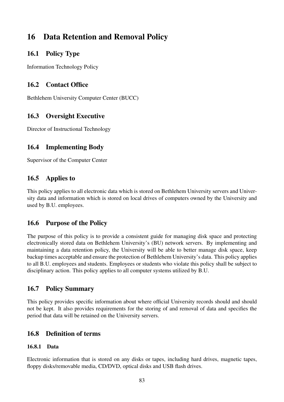# 16 Data Retention and Removal Policy

### 16.1 Policy Type

Information Technology Policy

## 16.2 Contact Office

Bethlehem University Computer Center (BUCC)

# 16.3 Oversight Executive

Director of Instructional Technology

# 16.4 Implementing Body

Supervisor of the Computer Center

# 16.5 Applies to

This policy applies to all electronic data which is stored on Bethlehem University servers and University data and information which is stored on local drives of computers owned by the University and used by B.U. employees.

# 16.6 Purpose of the Policy

The purpose of this policy is to provide a consistent guide for managing disk space and protecting electronically stored data on Bethlehem University's (BU) network servers. By implementing and maintaining a data retention policy, the University will be able to better manage disk space, keep backup times acceptable and ensure the protection of Bethlehem University's data. This policy applies to all B.U. employees and students. Employees or students who violate this policy shall be subject to disciplinary action. This policy applies to all computer systems utilized by B.U.

# 16.7 Policy Summary

This policy provides specific information about where official University records should and should not be kept. It also provides requirements for the storing of and removal of data and specifies the period that data will be retained on the University servers.

# 16.8 Definition of terms

### 16.8.1 Data

Electronic information that is stored on any disks or tapes, including hard drives, magnetic tapes, floppy disks/removable media, CD/DVD, optical disks and USB flash drives.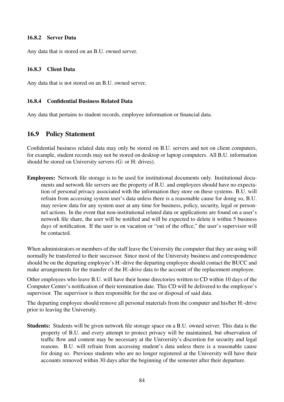#### 16.8.2 Server Data

Any data that is stored on an B.U. owned server.

#### 16.8.3 Client Data

Any data that is not stored on an B.U. owned server,

#### 16.8.4 Confidential Business Related Data

Any data that pertains to student records, employee information or financial data.

### 16.9 Policy Statement

Confidential business related data may only be stored on B.U. servers and not on client computers, for example, student records may not be stored on desktop or laptop computers. All B.U. information should be stored on University servers (G: or H: drives).

Employees: Network file storage is to be used for institutional documents only. Institutional documents and network file servers are the property of B.U. and employees should have no expectation of personal privacy associated with the information they store on these systems. B.U. will refrain from accessing system user's data unless there is a reasonable cause for doing so, B.U. may review data for any system user at any time for business, policy, security, legal or personnel actions. In the event that non-institutional related data or applications are found on a user's network file share, the user will be notified and will be expected to delete it within 5 business days of notification. If the user is on vacation or "out of the office," the user's supervisor will be contacted.

When administrators or members of the staff leave the University the computer that they are using will normally be transferred to their successor. Since most of the University business and correspondence should be on the departing employee's H:-drive the departing employee should contact the BUCC and make arrangements for the transfer of the H:-drive data to the account of the replacement employee.

Other employees who leave B.U. will have their home directories written to CD within 10 days of the Computer Center's notification of their termination date. This CD will be delivered to the employee's supervisor. The supervisor is then responsible for the use or disposal of said data.

The departing employee should remove all personal materials from the computer and his/her H:-drive prior to leaving the University.

Students: Students will be given network file storage space on a B.U. owned server. This data is the property of B.U. and every attempt to protect privacy will be maintained, but observation of traffic flow and content may be necessary at the University's discretion for security and legal reasons. B.U. will refrain from accessing student's data unless there is a reasonable cause for doing so. Previous students who are no longer registered at the University will have their accounts removed within 30 days after the beginning of the semester after their departure.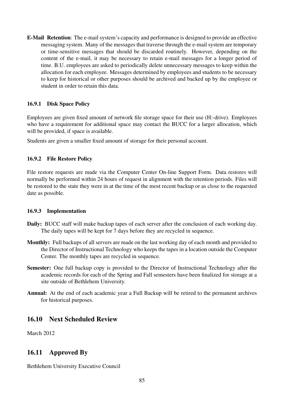E-Mail Retention: The e-mail system's capacity and performance is designed to provide an effective messaging system. Many of the messages that traverse through the e-mail system are temporary or time-sensitive messages that should be discarded routinely. However, depending on the content of the e-mail, it may be necessary to retain e-mail messages for a longer period of time. B.U. employees are asked to periodically delete unnecessary messages to keep within the allocation for each employee. Messages determined by employees and students to be necessary to keep for historical or other purposes should be archived and backed up by the employee or student in order to retain this data.

### 16.9.1 Disk Space Policy

Employees are given fixed amount of network file storage space for their use (H:-drive). Employees who have a requirement for additional space may contact the BUCC for a larger allocation, which will be provided, if space is available.

Students are given a smaller fixed amount of storage for their personal account.

### 16.9.2 File Restore Policy

File restore requests are made via the Computer Center On-line Support Form. Data restores will normally be performed within 24 hours of request in alignment with the retention periods. Files will be restored to the state they were in at the time of the most recent backup or as close to the requested date as possible.

### 16.9.3 Implementation

- Daily: BUCC staff will make backup tapes of each server after the conclusion of each working day. The daily tapes will be kept for 7 days before they are recycled in sequence.
- Monthly: Full backups of all servers are made on the last working day of each month and provided to the Director of Instructional Technology who keeps the tapes in a location outside the Computer Center. The monthly tapes are recycled in sequence.
- Semester: One full backup copy is provided to the Director of Instructional Technology after the academic records for each of the Spring and Fall semesters have been finalized for storage at a site outside of Bethlehem University.
- Annual: At the end of each academic year a Full Backup will be retired to the permanent archives for historical purposes.

### 16.10 Next Scheduled Review

March 2012

### 16.11 Approved By

Bethlehem University Executive Council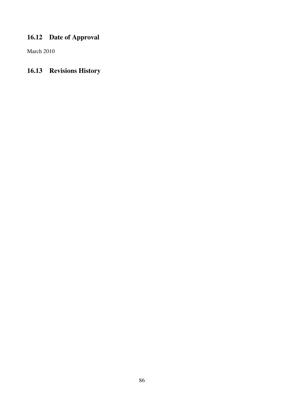# 16.12 Date of Approval

March 2010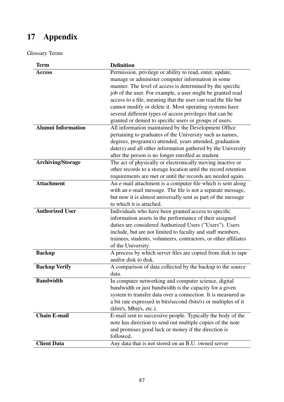# 17 Appendix

Glossary Terms

| <b>Term</b>               | <b>Definition</b>                                                |
|---------------------------|------------------------------------------------------------------|
| <b>Access</b>             | Permission, privilege or ability to read, enter, update,         |
|                           | manage or administer computer information in some                |
|                           | manner. The level of access is determined by the specific        |
|                           | job of the user. For example, a user might be granted read       |
|                           | access to a file, meaning that the user can read the file but    |
|                           | cannot modify or delete it. Most operating systems have          |
|                           | several different types of access privileges that can be         |
|                           | granted or denied to specific users or groups of users.          |
| <b>Alumni Information</b> | All information maintained by the Development Office             |
|                           | pertaining to graduates of the University such as names,         |
|                           | degrees, program(s) attended, years attended, graduation         |
|                           |                                                                  |
|                           | date(s) and all other information gathered by the University     |
|                           | after the person is no longer enrolled as student.               |
| <b>Archiving/Storage</b>  | The act of physically or electronically moving inactive or       |
|                           | other records to a storage location until the record retention   |
|                           | requirements are met or until the records are needed again.      |
| <b>Attachment</b>         | An e-mail attachment is a computer file which is sent along      |
|                           | with an e-mail message. The file is not a separate message,      |
|                           | but now it is almost universally sent as part of the message     |
|                           | to which it is attached.                                         |
| <b>Authorized User</b>    | Individuals who have been granted access to specific             |
|                           | information assets in the performance of their assigned          |
|                           | duties are considered Authorized Users ("Users"). Users          |
|                           | include, but are not limited to faculty and staff members,       |
|                           | trainees, students, volunteers, contractors, or other affiliates |
|                           | of the University.                                               |
| <b>Backup</b>             | A process by which server files are copied from disk to tape     |
|                           | and/or disk to disk.                                             |
| <b>Backup Verify</b>      | A comparison of data collected by the backup to the source       |
|                           | data.                                                            |
| <b>Bandwidth</b>          | In computer networking and computer science, digital             |
|                           | bandwidth or just bandwidth is the capacity for a given          |
|                           | system to transfer data over a connection. It is measured as     |
|                           | a bit rate expressed in bits/second (bits/s) or multiples of it  |
|                           | (kbit/s, Mbit/s, etc.).                                          |
| <b>Chain E-mail</b>       | E-mail sent to successive people. Typically the body of the      |
|                           | note has direction to send out multiple copies of the note       |
|                           | and promises good luck or money if the direction is              |
|                           | followed.                                                        |
| <b>Client Data</b>        | Any data that is not stored on an B.U. owned server              |
|                           |                                                                  |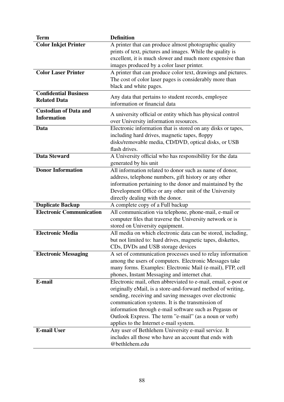| <b>Term</b>                     | <b>Definition</b>                                                                                                   |
|---------------------------------|---------------------------------------------------------------------------------------------------------------------|
| <b>Color Inkjet Printer</b>     | A printer that can produce almost photographic quality                                                              |
|                                 | prints of text, pictures and images. While the quality is                                                           |
|                                 | excellent, it is much slower and much more expensive than                                                           |
|                                 | images produced by a color laser printer.                                                                           |
| <b>Color Laser Printer</b>      | A printer that can produce color text, drawings and pictures.                                                       |
|                                 | The cost of color laser pages is considerably more than<br>black and white pages.                                   |
| <b>Confidential Business</b>    |                                                                                                                     |
| <b>Related Data</b>             | Any data that pertains to student records, employee                                                                 |
|                                 | information or financial data                                                                                       |
| <b>Custodian of Data and</b>    | A university official or entity which has physical control                                                          |
| <b>Information</b>              | over University information resources.                                                                              |
| Data                            | Electronic information that is stored on any disks or tapes,                                                        |
|                                 | including hard drives, magnetic tapes, floppy                                                                       |
|                                 | disks/removable media, CD/DVD, optical disks, or USB                                                                |
|                                 | flash drives.                                                                                                       |
| <b>Data Steward</b>             | A University official who has responsibility for the data                                                           |
|                                 | generated by his unit                                                                                               |
| <b>Donor Information</b>        | All information related to donor such as name of donor,                                                             |
|                                 | address, telephone numbers, gift history or any other                                                               |
|                                 | information pertaining to the donor and maintained by the<br>Development Office or any other unit of the University |
|                                 | directly dealing with the donor.                                                                                    |
| <b>Duplicate Backup</b>         | A complete copy of a Full backup                                                                                    |
| <b>Electronic Communication</b> | All communication via telephone, phone-mail, e-mail or                                                              |
|                                 | computer files that traverse the University network or is                                                           |
|                                 | stored on University equipment.                                                                                     |
| <b>Electronic Media</b>         | All media on which electronic data can be stored, including,                                                        |
|                                 | but not limited to: hard drives, magnetic tapes, diskettes,                                                         |
|                                 | CDs, DVDs and USB storage devices                                                                                   |
| <b>Electronic Messaging</b>     | A set of communication processes used to relay information                                                          |
|                                 | among the users of computers. Electronic Messages take                                                              |
|                                 | many forms. Examples: Electronic Mail (e-mail), FTP, cell                                                           |
| E-mail                          | phones, Instant Messaging and internet chat.<br>Electronic mail, often abbreviated to e-mail, email, e-post or      |
|                                 | originally eMail, is a store-and-forward method of writing,                                                         |
|                                 | sending, receiving and saving messages over electronic                                                              |
|                                 | communication systems. It is the transmission of                                                                    |
|                                 | information through e-mail software such as Pegasus or                                                              |
|                                 | Outlook Express. The term "e-mail" (as a noun or verb)                                                              |
|                                 | applies to the Internet e-mail system.                                                                              |
| <b>E-mail User</b>              | Any user of Bethlehem University e-mail service. It                                                                 |
|                                 | includes all those who have an account that ends with                                                               |
|                                 | @bethlehem.edu                                                                                                      |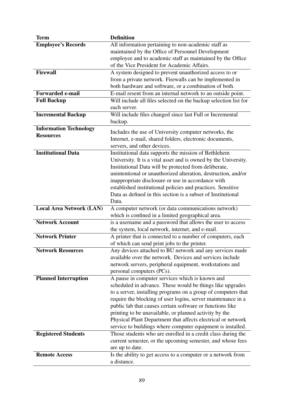| <b>Term</b>                     | <b>Definition</b>                                                |
|---------------------------------|------------------------------------------------------------------|
| <b>Employee's Records</b>       | All information pertaining to non-academic staff as              |
|                                 | maintained by the Office of Personnel Development                |
|                                 | employee and to academic staff as maintained by the Office       |
|                                 | of the Vice President for Academic Affairs.                      |
| <b>Firewall</b>                 | A system designed to prevent unauthorized access to or           |
|                                 | from a private network. Firewalls can be implemented in          |
|                                 | both hardware and software, or a combination of both.            |
| <b>Forwarded e-mail</b>         | E-mail resent from an internal network to an outside point.      |
| <b>Full Backup</b>              | Will include all files selected on the backup selection list for |
|                                 | each server.                                                     |
| <b>Incremental Backup</b>       | Will include files changed since last Full or Incremental        |
|                                 | backup.                                                          |
| <b>Information Technology</b>   | Includes the use of University computer networks, the            |
| <b>Resources</b>                | Internet, e-mail, shared folders, electronic documents,          |
|                                 | servers, and other devices.                                      |
| <b>Institutional Data</b>       | Institutional data supports the mission of Bethlehem             |
|                                 | University. It is a vital asset and is owned by the University.  |
|                                 | Institutional Data will be protected from deliberate,            |
|                                 | unintentional or unauthorized alteration, destruction, and/or    |
|                                 | inappropriate disclosure or use in accordance with               |
|                                 | established institutional policies and practices. Sensitive      |
|                                 | Data as defined in this section is a subset of Institutional     |
|                                 | Data.                                                            |
| <b>Local Area Network (LAN)</b> | A computer network (or data communications network)              |
|                                 | which is confined in a limited geographical area.                |
| <b>Network Account</b>          | is a username and a password that allows the user to access      |
|                                 | the system, local network, internet, and e-mail.                 |
| <b>Network Printer</b>          | A printer that is connected to a number of computers, each       |
|                                 | of which can send print jobs to the printer.                     |
| <b>Network Resources</b>        | Any devices attached to BU network and any services made         |
|                                 | available over the network. Devices and services include         |
|                                 | network servers, peripheral equipment, workstations and          |
|                                 | personal computers (PCs).                                        |
| <b>Planned Interruption</b>     | A pause in computer services which is known and                  |
|                                 | scheduled in advance. These would be things like upgrades        |
|                                 | to a server, installing programs on a group of computers that    |
|                                 | require the blocking of user logins, server maintenance in a     |
|                                 | public lab that causes certain software or functions like        |
|                                 | printing to be unavailable, or planned activity by the           |
|                                 | Physical Plant Department that affects electrical or network     |
|                                 | service to buildings where computer equipment is installed.      |
| <b>Registered Students</b>      | Those students who are enrolled in a credit class during the     |
|                                 | current semester, or the upcoming semester, and whose fees       |
|                                 | are up to date.                                                  |
| <b>Remote Access</b>            | Is the ability to get access to a computer or a network from     |
|                                 | a distance.                                                      |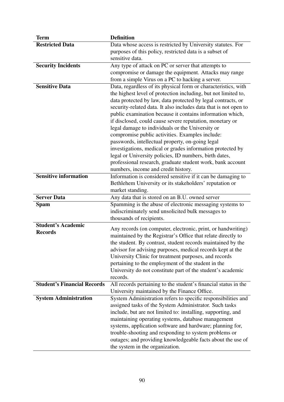| <b>Term</b>                        | <b>Definition</b>                                                                                                              |
|------------------------------------|--------------------------------------------------------------------------------------------------------------------------------|
| <b>Restricted Data</b>             | Data whose access is restricted by University statutes. For                                                                    |
|                                    | purposes of this policy, restricted data is a subset of                                                                        |
|                                    | sensitive data.                                                                                                                |
| <b>Security Incidents</b>          | Any type of attack on PC or server that attempts to                                                                            |
|                                    | compromise or damage the equipment. Attacks may range                                                                          |
|                                    | from a simple Virus on a PC to hacking a server.                                                                               |
| <b>Sensitive Data</b>              | Data, regardless of its physical form or characteristics, with                                                                 |
|                                    | the highest level of protection including, but not limited to,<br>data protected by law, data protected by legal contracts, or |
|                                    | security-related data. It also includes data that is not open to                                                               |
|                                    | public examination because it contains information which,                                                                      |
|                                    | if disclosed, could cause severe reputation, monetary or                                                                       |
|                                    | legal damage to individuals or the University or                                                                               |
|                                    | compromise public activities. Examples include:                                                                                |
|                                    | passwords, intellectual property, on-going legal                                                                               |
|                                    | investigations, medical or grades information protected by                                                                     |
|                                    | legal or University policies, ID numbers, birth dates,                                                                         |
|                                    | professional research, graduate student work, bank account                                                                     |
|                                    | numbers, income and credit history.                                                                                            |
| <b>Sensitive information</b>       | Information is considered sensitive if it can be damaging to                                                                   |
|                                    | Bethlehem University or its stakeholders' reputation or                                                                        |
|                                    | market standing.                                                                                                               |
| <b>Server Data</b>                 | Any data that is stored on an B.U. owned server                                                                                |
| <b>Spam</b>                        | Spamming is the abuse of electronic messaging systems to                                                                       |
|                                    | indiscriminately send unsolicited bulk messages to                                                                             |
| <b>Student's Academic</b>          | thousands of recipients.                                                                                                       |
| <b>Records</b>                     | Any records (on computer, electronic, print, or handwriting)                                                                   |
|                                    | maintained by the Registrar's Office that relate directly to                                                                   |
|                                    | the student. By contrast, student records maintained by the                                                                    |
|                                    | advisor for advising purposes, medical records kept at the                                                                     |
|                                    | University Clinic for treatment purposes, and records                                                                          |
|                                    | pertaining to the employment of the student in the                                                                             |
|                                    | University do not constitute part of the student's academic<br>records.                                                        |
| <b>Student's Financial Records</b> | All records pertaining to the student's financial status in the                                                                |
|                                    | University maintained by the Finance Office.                                                                                   |
| <b>System Administration</b>       | System Administration refers to specific responsibilities and                                                                  |
|                                    | assigned tasks of the System Administrator. Such tasks                                                                         |
|                                    | include, but are not limited to: installing, supporting, and                                                                   |
|                                    | maintaining operating systems, database management                                                                             |
|                                    | systems, application software and hardware; planning for,                                                                      |
|                                    | trouble-shooting and responding to system problems or                                                                          |
|                                    | outages; and providing knowledgeable facts about the use of                                                                    |
|                                    | the system in the organization.                                                                                                |